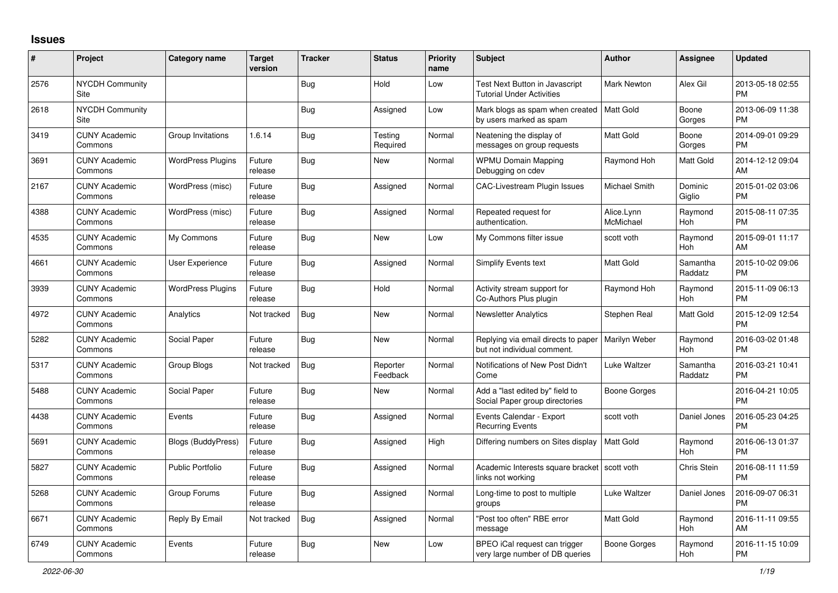## **Issues**

| #    | Project                         | <b>Category name</b>     | <b>Target</b><br>version | <b>Tracker</b> | <b>Status</b>        | <b>Priority</b><br>name | <b>Subject</b>                                                      | <b>Author</b>           | <b>Assignee</b>     | <b>Updated</b>                |
|------|---------------------------------|--------------------------|--------------------------|----------------|----------------------|-------------------------|---------------------------------------------------------------------|-------------------------|---------------------|-------------------------------|
| 2576 | <b>NYCDH Community</b><br>Site  |                          |                          | <b>Bug</b>     | Hold                 | Low                     | Test Next Button in Javascript<br><b>Tutorial Under Activities</b>  | Mark Newton             | Alex Gil            | 2013-05-18 02:55<br><b>PM</b> |
| 2618 | <b>NYCDH Community</b><br>Site  |                          |                          | <b>Bug</b>     | Assigned             | Low                     | Mark blogs as spam when created<br>by users marked as spam          | Matt Gold               | Boone<br>Gorges     | 2013-06-09 11:38<br><b>PM</b> |
| 3419 | <b>CUNY Academic</b><br>Commons | Group Invitations        | 1.6.14                   | Bug            | Testing<br>Required  | Normal                  | Neatening the display of<br>messages on group requests              | <b>Matt Gold</b>        | Boone<br>Gorges     | 2014-09-01 09:29<br><b>PM</b> |
| 3691 | <b>CUNY Academic</b><br>Commons | <b>WordPress Plugins</b> | Future<br>release        | <b>Bug</b>     | New                  | Normal                  | <b>WPMU Domain Mapping</b><br>Debugging on cdev                     | Raymond Hoh             | Matt Gold           | 2014-12-12 09:04<br>AM        |
| 2167 | <b>CUNY Academic</b><br>Commons | WordPress (misc)         | Future<br>release        | Bug            | Assigned             | Normal                  | CAC-Livestream Plugin Issues                                        | Michael Smith           | Dominic<br>Giglio   | 2015-01-02 03:06<br><b>PM</b> |
| 4388 | <b>CUNY Academic</b><br>Commons | WordPress (misc)         | Future<br>release        | Bug            | Assigned             | Normal                  | Repeated request for<br>authentication.                             | Alice.Lynn<br>McMichael | Raymond<br>Hoh      | 2015-08-11 07:35<br><b>PM</b> |
| 4535 | <b>CUNY Academic</b><br>Commons | My Commons               | Future<br>release        | Bug            | <b>New</b>           | Low                     | My Commons filter issue                                             | scott voth              | Raymond<br>Hoh      | 2015-09-01 11:17<br>AM        |
| 4661 | <b>CUNY Academic</b><br>Commons | User Experience          | Future<br>release        | Bug            | Assigned             | Normal                  | <b>Simplify Events text</b>                                         | <b>Matt Gold</b>        | Samantha<br>Raddatz | 2015-10-02 09:06<br><b>PM</b> |
| 3939 | <b>CUNY Academic</b><br>Commons | <b>WordPress Plugins</b> | Future<br>release        | Bug            | Hold                 | Normal                  | Activity stream support for<br>Co-Authors Plus plugin               | Raymond Hoh             | Raymond<br>Hoh      | 2015-11-09 06:13<br><b>PM</b> |
| 4972 | <b>CUNY Academic</b><br>Commons | Analytics                | Not tracked              | Bug            | <b>New</b>           | Normal                  | <b>Newsletter Analytics</b>                                         | Stephen Real            | Matt Gold           | 2015-12-09 12:54<br><b>PM</b> |
| 5282 | <b>CUNY Academic</b><br>Commons | Social Paper             | Future<br>release        | Bug            | New                  | Normal                  | Replying via email directs to paper<br>but not individual comment.  | Marilyn Weber           | Raymond<br>Hoh      | 2016-03-02 01:48<br><b>PM</b> |
| 5317 | <b>CUNY Academic</b><br>Commons | Group Blogs              | Not tracked              | Bug            | Reporter<br>Feedback | Normal                  | Notifications of New Post Didn't<br>Come                            | Luke Waltzer            | Samantha<br>Raddatz | 2016-03-21 10:41<br><b>PM</b> |
| 5488 | <b>CUNY Academic</b><br>Commons | Social Paper             | Future<br>release        | <b>Bug</b>     | New                  | Normal                  | Add a "last edited by" field to<br>Social Paper group directories   | Boone Gorges            |                     | 2016-04-21 10:05<br><b>PM</b> |
| 4438 | <b>CUNY Academic</b><br>Commons | Events                   | Future<br>release        | Bug            | Assigned             | Normal                  | Events Calendar - Export<br><b>Recurring Events</b>                 | scott voth              | Daniel Jones        | 2016-05-23 04:25<br><b>PM</b> |
| 5691 | <b>CUNY Academic</b><br>Commons | Blogs (BuddyPress)       | Future<br>release        | Bug            | Assigned             | High                    | Differing numbers on Sites display                                  | Matt Gold               | Raymond<br>Hoh      | 2016-06-13 01:37<br><b>PM</b> |
| 5827 | <b>CUNY Academic</b><br>Commons | <b>Public Portfolio</b>  | Future<br>release        | Bug            | Assigned             | Normal                  | Academic Interests square bracket   scott voth<br>links not working |                         | Chris Stein         | 2016-08-11 11:59<br><b>PM</b> |
| 5268 | <b>CUNY Academic</b><br>Commons | Group Forums             | Future<br>release        | Bug            | Assigned             | Normal                  | Long-time to post to multiple<br>groups                             | Luke Waltzer            | Daniel Jones        | 2016-09-07 06:31<br><b>PM</b> |
| 6671 | <b>CUNY Academic</b><br>Commons | Reply By Email           | Not tracked              | <b>Bug</b>     | Assigned             | Normal                  | "Post too often" RBE error<br>message                               | <b>Matt Gold</b>        | Raymond<br>Hoh      | 2016-11-11 09:55<br>AM        |
| 6749 | <b>CUNY Academic</b><br>Commons | Events                   | Future<br>release        | Bug            | <b>New</b>           | Low                     | BPEO iCal request can trigger<br>very large number of DB queries    | Boone Gorges            | Raymond<br>Hoh      | 2016-11-15 10:09<br><b>PM</b> |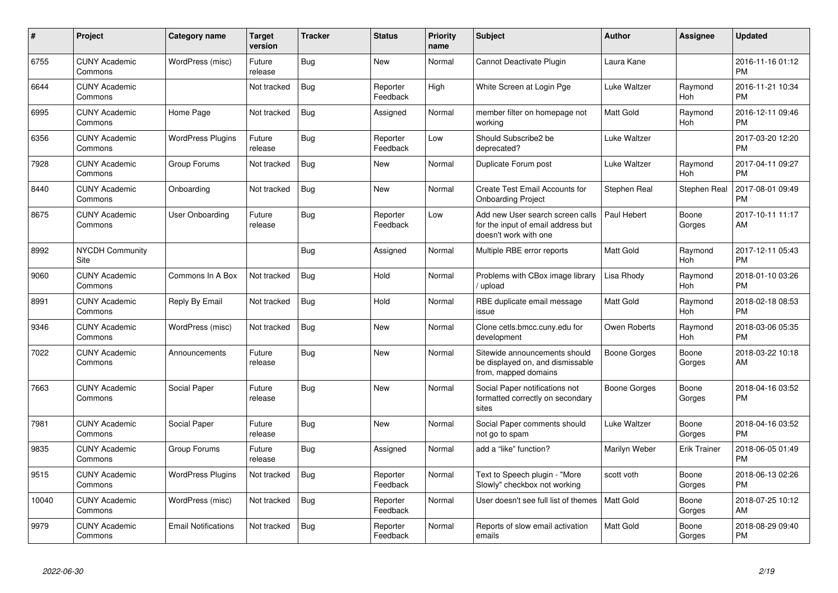| $\pmb{\#}$ | Project                         | <b>Category name</b>       | <b>Target</b><br>version | <b>Tracker</b> | <b>Status</b>        | <b>Priority</b><br>name | <b>Subject</b>                                                                                  | <b>Author</b>    | Assignee            | <b>Updated</b>                |
|------------|---------------------------------|----------------------------|--------------------------|----------------|----------------------|-------------------------|-------------------------------------------------------------------------------------------------|------------------|---------------------|-------------------------------|
| 6755       | <b>CUNY Academic</b><br>Commons | WordPress (misc)           | Future<br>release        | Bug            | <b>New</b>           | Normal                  | Cannot Deactivate Plugin                                                                        | Laura Kane       |                     | 2016-11-16 01:12<br><b>PM</b> |
| 6644       | <b>CUNY Academic</b><br>Commons |                            | Not tracked              | Bug            | Reporter<br>Feedback | High                    | White Screen at Login Pge                                                                       | Luke Waltzer     | Raymond<br>Hoh      | 2016-11-21 10:34<br><b>PM</b> |
| 6995       | <b>CUNY Academic</b><br>Commons | Home Page                  | Not tracked              | <b>Bug</b>     | Assigned             | Normal                  | member filter on homepage not<br>working                                                        | Matt Gold        | Raymond<br>Hoh      | 2016-12-11 09:46<br><b>PM</b> |
| 6356       | <b>CUNY Academic</b><br>Commons | <b>WordPress Plugins</b>   | Future<br>release        | Bug            | Reporter<br>Feedback | Low                     | Should Subscribe2 be<br>deprecated?                                                             | Luke Waltzer     |                     | 2017-03-20 12:20<br><b>PM</b> |
| 7928       | <b>CUNY Academic</b><br>Commons | Group Forums               | Not tracked              | Bug            | <b>New</b>           | Normal                  | Duplicate Forum post                                                                            | Luke Waltzer     | Raymond<br>Hoh      | 2017-04-11 09:27<br><b>PM</b> |
| 8440       | <b>CUNY Academic</b><br>Commons | Onboarding                 | Not tracked              | Bug            | New                  | Normal                  | Create Test Email Accounts for<br><b>Onboarding Project</b>                                     | Stephen Real     | Stephen Real        | 2017-08-01 09:49<br><b>PM</b> |
| 8675       | <b>CUNY Academic</b><br>Commons | User Onboarding            | Future<br>release        | Bug            | Reporter<br>Feedback | Low                     | Add new User search screen calls<br>for the input of email address but<br>doesn't work with one | Paul Hebert      | Boone<br>Gorges     | 2017-10-11 11:17<br>AM        |
| 8992       | <b>NYCDH Community</b><br>Site  |                            |                          | Bug            | Assigned             | Normal                  | Multiple RBE error reports                                                                      | Matt Gold        | Raymond<br>Hoh      | 2017-12-11 05:43<br><b>PM</b> |
| 9060       | <b>CUNY Academic</b><br>Commons | Commons In A Box           | Not tracked              | Bug            | Hold                 | Normal                  | Problems with CBox image library<br>upload                                                      | Lisa Rhody       | Raymond<br>Hoh      | 2018-01-10 03:26<br><b>PM</b> |
| 8991       | <b>CUNY Academic</b><br>Commons | Reply By Email             | Not tracked              | Bug            | Hold                 | Normal                  | RBE duplicate email message<br>issue                                                            | <b>Matt Gold</b> | Raymond<br>Hoh      | 2018-02-18 08:53<br><b>PM</b> |
| 9346       | <b>CUNY Academic</b><br>Commons | WordPress (misc)           | Not tracked              | Bug            | <b>New</b>           | Normal                  | Clone cetls.bmcc.cuny.edu for<br>development                                                    | Owen Roberts     | Raymond<br>Hoh      | 2018-03-06 05:35<br><b>PM</b> |
| 7022       | <b>CUNY Academic</b><br>Commons | Announcements              | Future<br>release        | Bug            | <b>New</b>           | Normal                  | Sitewide announcements should<br>be displayed on, and dismissable<br>from, mapped domains       | Boone Gorges     | Boone<br>Gorges     | 2018-03-22 10:18<br>AM        |
| 7663       | <b>CUNY Academic</b><br>Commons | Social Paper               | Future<br>release        | Bug            | New                  | Normal                  | Social Paper notifications not<br>formatted correctly on secondary<br>sites                     | Boone Gorges     | Boone<br>Gorges     | 2018-04-16 03:52<br><b>PM</b> |
| 7981       | <b>CUNY Academic</b><br>Commons | Social Paper               | Future<br>release        | Bug            | <b>New</b>           | Normal                  | Social Paper comments should<br>not go to spam                                                  | Luke Waltzer     | Boone<br>Gorges     | 2018-04-16 03:52<br><b>PM</b> |
| 9835       | <b>CUNY Academic</b><br>Commons | Group Forums               | Future<br>release        | Bug            | Assigned             | Normal                  | add a "like" function?                                                                          | Marilyn Weber    | <b>Erik Trainer</b> | 2018-06-05 01:49<br><b>PM</b> |
| 9515       | <b>CUNY Academic</b><br>Commons | <b>WordPress Plugins</b>   | Not tracked              | Bug            | Reporter<br>Feedback | Normal                  | Text to Speech plugin - "More<br>Slowly" checkbox not working                                   | scott voth       | Boone<br>Gorges     | 2018-06-13 02:26<br><b>PM</b> |
| 10040      | <b>CUNY Academic</b><br>Commons | WordPress (misc)           | Not tracked              | Bug            | Reporter<br>Feedback | Normal                  | User doesn't see full list of themes                                                            | <b>Matt Gold</b> | Boone<br>Gorges     | 2018-07-25 10:12<br>AM        |
| 9979       | <b>CUNY Academic</b><br>Commons | <b>Email Notifications</b> | Not tracked              | Bug            | Reporter<br>Feedback | Normal                  | Reports of slow email activation<br>emails                                                      | Matt Gold        | Boone<br>Gorges     | 2018-08-29 09:40<br><b>PM</b> |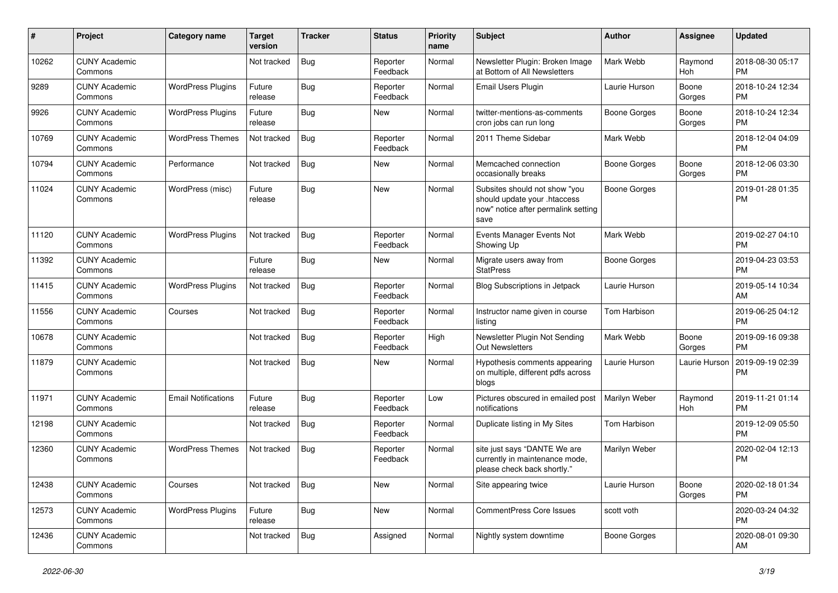| #     | Project                         | <b>Category name</b>       | <b>Target</b><br>version | <b>Tracker</b> | <b>Status</b>        | <b>Priority</b><br>name | <b>Subject</b>                                                                                               | <b>Author</b>       | Assignee        | <b>Updated</b>                |
|-------|---------------------------------|----------------------------|--------------------------|----------------|----------------------|-------------------------|--------------------------------------------------------------------------------------------------------------|---------------------|-----------------|-------------------------------|
| 10262 | <b>CUNY Academic</b><br>Commons |                            | Not tracked              | <b>Bug</b>     | Reporter<br>Feedback | Normal                  | Newsletter Plugin: Broken Image<br>at Bottom of All Newsletters                                              | Mark Webb           | Raymond<br>Hoh  | 2018-08-30 05:17<br><b>PM</b> |
| 9289  | <b>CUNY Academic</b><br>Commons | <b>WordPress Plugins</b>   | Future<br>release        | <b>Bug</b>     | Reporter<br>Feedback | Normal                  | Email Users Plugin                                                                                           | Laurie Hurson       | Boone<br>Gorges | 2018-10-24 12:34<br><b>PM</b> |
| 9926  | <b>CUNY Academic</b><br>Commons | <b>WordPress Plugins</b>   | Future<br>release        | Bug            | <b>New</b>           | Normal                  | twitter-mentions-as-comments<br>cron jobs can run long                                                       | <b>Boone Gorges</b> | Boone<br>Gorges | 2018-10-24 12:34<br><b>PM</b> |
| 10769 | <b>CUNY Academic</b><br>Commons | <b>WordPress Themes</b>    | Not tracked              | <b>Bug</b>     | Reporter<br>Feedback | Normal                  | 2011 Theme Sidebar                                                                                           | Mark Webb           |                 | 2018-12-04 04:09<br><b>PM</b> |
| 10794 | <b>CUNY Academic</b><br>Commons | Performance                | Not tracked              | Bug            | New                  | Normal                  | Memcached connection<br>occasionally breaks                                                                  | Boone Gorges        | Boone<br>Gorges | 2018-12-06 03:30<br><b>PM</b> |
| 11024 | <b>CUNY Academic</b><br>Commons | WordPress (misc)           | Future<br>release        | Bug            | <b>New</b>           | Normal                  | Subsites should not show "you<br>should update your .htaccess<br>now" notice after permalink setting<br>save | Boone Gorges        |                 | 2019-01-28 01:35<br><b>PM</b> |
| 11120 | <b>CUNY Academic</b><br>Commons | <b>WordPress Plugins</b>   | Not tracked              | Bug            | Reporter<br>Feedback | Normal                  | Events Manager Events Not<br>Showing Up                                                                      | Mark Webb           |                 | 2019-02-27 04:10<br><b>PM</b> |
| 11392 | <b>CUNY Academic</b><br>Commons |                            | Future<br>release        | Bug            | New                  | Normal                  | Migrate users away from<br><b>StatPress</b>                                                                  | <b>Boone Gorges</b> |                 | 2019-04-23 03:53<br><b>PM</b> |
| 11415 | <b>CUNY Academic</b><br>Commons | <b>WordPress Plugins</b>   | Not tracked              | <b>Bug</b>     | Reporter<br>Feedback | Normal                  | <b>Blog Subscriptions in Jetpack</b>                                                                         | Laurie Hurson       |                 | 2019-05-14 10:34<br>AM        |
| 11556 | <b>CUNY Academic</b><br>Commons | Courses                    | Not tracked              | <b>Bug</b>     | Reporter<br>Feedback | Normal                  | Instructor name given in course<br>listing                                                                   | Tom Harbison        |                 | 2019-06-25 04:12<br><b>PM</b> |
| 10678 | <b>CUNY Academic</b><br>Commons |                            | Not tracked              | Bug            | Reporter<br>Feedback | High                    | Newsletter Plugin Not Sending<br>Out Newsletters                                                             | Mark Webb           | Boone<br>Gorges | 2019-09-16 09:38<br><b>PM</b> |
| 11879 | <b>CUNY Academic</b><br>Commons |                            | Not tracked              | Bug            | <b>New</b>           | Normal                  | Hypothesis comments appearing<br>on multiple, different pdfs across<br>blogs                                 | Laurie Hurson       | Laurie Hurson   | 2019-09-19 02:39<br><b>PM</b> |
| 11971 | <b>CUNY Academic</b><br>Commons | <b>Email Notifications</b> | Future<br>release        | Bug            | Reporter<br>Feedback | Low                     | Pictures obscured in emailed post<br>notifications                                                           | Marilyn Weber       | Raymond<br>Hoh  | 2019-11-21 01:14<br><b>PM</b> |
| 12198 | <b>CUNY Academic</b><br>Commons |                            | Not tracked              | Bug            | Reporter<br>Feedback | Normal                  | Duplicate listing in My Sites                                                                                | Tom Harbison        |                 | 2019-12-09 05:50<br><b>PM</b> |
| 12360 | <b>CUNY Academic</b><br>Commons | <b>WordPress Themes</b>    | Not tracked              | Bug            | Reporter<br>Feedback | Normal                  | site just says "DANTE We are<br>currently in maintenance mode,<br>please check back shortly."                | Marilyn Weber       |                 | 2020-02-04 12:13<br><b>PM</b> |
| 12438 | <b>CUNY Academic</b><br>Commons | Courses                    | Not tracked              | Bug            | New                  | Normal                  | Site appearing twice                                                                                         | Laurie Hurson       | Boone<br>Gorges | 2020-02-18 01:34<br>PM.       |
| 12573 | <b>CUNY Academic</b><br>Commons | <b>WordPress Plugins</b>   | Future<br>release        | <b>Bug</b>     | New                  | Normal                  | CommentPress Core Issues                                                                                     | scott voth          |                 | 2020-03-24 04:32<br><b>PM</b> |
| 12436 | <b>CUNY Academic</b><br>Commons |                            | Not tracked              | <b>Bug</b>     | Assigned             | Normal                  | Nightly system downtime                                                                                      | Boone Gorges        |                 | 2020-08-01 09:30<br>AM        |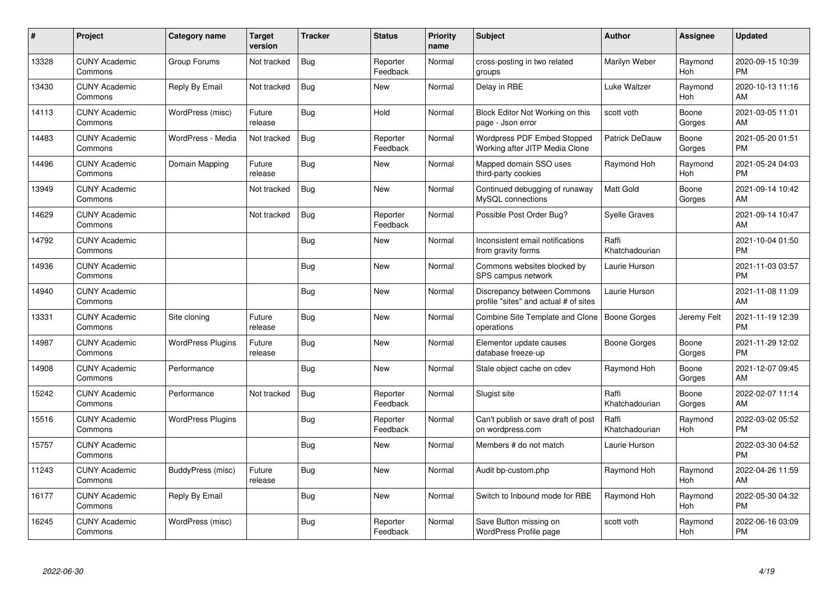| #     | Project                         | <b>Category name</b>     | Target<br>version | <b>Tracker</b> | <b>Status</b>        | <b>Priority</b><br>name | <b>Subject</b>                                                       | <b>Author</b>           | <b>Assignee</b> | <b>Updated</b>                |
|-------|---------------------------------|--------------------------|-------------------|----------------|----------------------|-------------------------|----------------------------------------------------------------------|-------------------------|-----------------|-------------------------------|
| 13328 | <b>CUNY Academic</b><br>Commons | Group Forums             | Not tracked       | Bug            | Reporter<br>Feedback | Normal                  | cross-posting in two related<br>groups                               | Marilyn Weber           | Raymond<br>Hoh  | 2020-09-15 10:39<br><b>PM</b> |
| 13430 | <b>CUNY Academic</b><br>Commons | Reply By Email           | Not tracked       | Bug            | <b>New</b>           | Normal                  | Delay in RBE                                                         | Luke Waltzer            | Raymond<br>Hoh  | 2020-10-13 11:16<br><b>AM</b> |
| 14113 | <b>CUNY Academic</b><br>Commons | WordPress (misc)         | Future<br>release | Bug            | Hold                 | Normal                  | Block Editor Not Working on this<br>page - Json error                | scott voth              | Boone<br>Gorges | 2021-03-05 11:01<br>AM        |
| 14483 | <b>CUNY Academic</b><br>Commons | WordPress - Media        | Not tracked       | Bug            | Reporter<br>Feedback | Normal                  | Wordpress PDF Embed Stopped<br>Working after JITP Media Clone        | <b>Patrick DeDauw</b>   | Boone<br>Gorges | 2021-05-20 01:51<br><b>PM</b> |
| 14496 | <b>CUNY Academic</b><br>Commons | Domain Mapping           | Future<br>release | Bug            | <b>New</b>           | Normal                  | Mapped domain SSO uses<br>third-party cookies                        | Raymond Hoh             | Raymond<br>Hoh  | 2021-05-24 04:03<br><b>PM</b> |
| 13949 | <b>CUNY Academic</b><br>Commons |                          | Not tracked       | Bug            | <b>New</b>           | Normal                  | Continued debugging of runaway<br>MySQL connections                  | Matt Gold               | Boone<br>Gorges | 2021-09-14 10:42<br><b>AM</b> |
| 14629 | <b>CUNY Academic</b><br>Commons |                          | Not tracked       | Bug            | Reporter<br>Feedback | Normal                  | Possible Post Order Bug?                                             | Syelle Graves           |                 | 2021-09-14 10:47<br>AM        |
| 14792 | <b>CUNY Academic</b><br>Commons |                          |                   | Bug            | <b>New</b>           | Normal                  | Inconsistent email notifications<br>from gravity forms               | Raffi<br>Khatchadourian |                 | 2021-10-04 01:50<br><b>PM</b> |
| 14936 | <b>CUNY Academic</b><br>Commons |                          |                   | Bug            | New                  | Normal                  | Commons websites blocked by<br>SPS campus network                    | Laurie Hurson           |                 | 2021-11-03 03:57<br><b>PM</b> |
| 14940 | <b>CUNY Academic</b><br>Commons |                          |                   | Bug            | <b>New</b>           | Normal                  | Discrepancy between Commons<br>profile "sites" and actual # of sites | Laurie Hurson           |                 | 2021-11-08 11:09<br>AM        |
| 13331 | <b>CUNY Academic</b><br>Commons | Site cloning             | Future<br>release | Bug            | New                  | Normal                  | Combine Site Template and Clone<br>operations                        | Boone Gorges            | Jeremy Felt     | 2021-11-19 12:39<br><b>PM</b> |
| 14987 | <b>CUNY Academic</b><br>Commons | <b>WordPress Plugins</b> | Future<br>release | Bug            | New                  | Normal                  | Elementor update causes<br>database freeze-up                        | Boone Gorges            | Boone<br>Gorges | 2021-11-29 12:02<br><b>PM</b> |
| 14908 | <b>CUNY Academic</b><br>Commons | Performance              |                   | Bug            | New                  | Normal                  | Stale object cache on cdev                                           | Raymond Hoh             | Boone<br>Gorges | 2021-12-07 09:45<br><b>AM</b> |
| 15242 | <b>CUNY Academic</b><br>Commons | Performance              | Not tracked       | <b>Bug</b>     | Reporter<br>Feedback | Normal                  | Slugist site                                                         | Raffi<br>Khatchadourian | Boone<br>Gorges | 2022-02-07 11:14<br>AM        |
| 15516 | <b>CUNY Academic</b><br>Commons | <b>WordPress Plugins</b> |                   | Bug            | Reporter<br>Feedback | Normal                  | Can't publish or save draft of post<br>on wordpress.com              | Raffi<br>Khatchadourian | Raymond<br>Hoh  | 2022-03-02 05:52<br><b>PM</b> |
| 15757 | <b>CUNY Academic</b><br>Commons |                          |                   | Bug            | New                  | Normal                  | Members # do not match                                               | Laurie Hurson           |                 | 2022-03-30 04:52<br><b>PM</b> |
| 11243 | <b>CUNY Academic</b><br>Commons | BuddyPress (misc)        | Future<br>release | Bug            | New                  | Normal                  | Audit bp-custom.php                                                  | Raymond Hoh             | Raymond<br>Hoh  | 2022-04-26 11:59<br>AM        |
| 16177 | <b>CUNY Academic</b><br>Commons | Reply By Email           |                   | <b>Bug</b>     | <b>New</b>           | Normal                  | Switch to Inbound mode for RBE                                       | Raymond Hoh             | Raymond<br>Hoh  | 2022-05-30 04:32<br><b>PM</b> |
| 16245 | <b>CUNY Academic</b><br>Commons | WordPress (misc)         |                   | Bug            | Reporter<br>Feedback | Normal                  | Save Button missing on<br>WordPress Profile page                     | scott voth              | Raymond<br>Hoh  | 2022-06-16 03:09<br>PM        |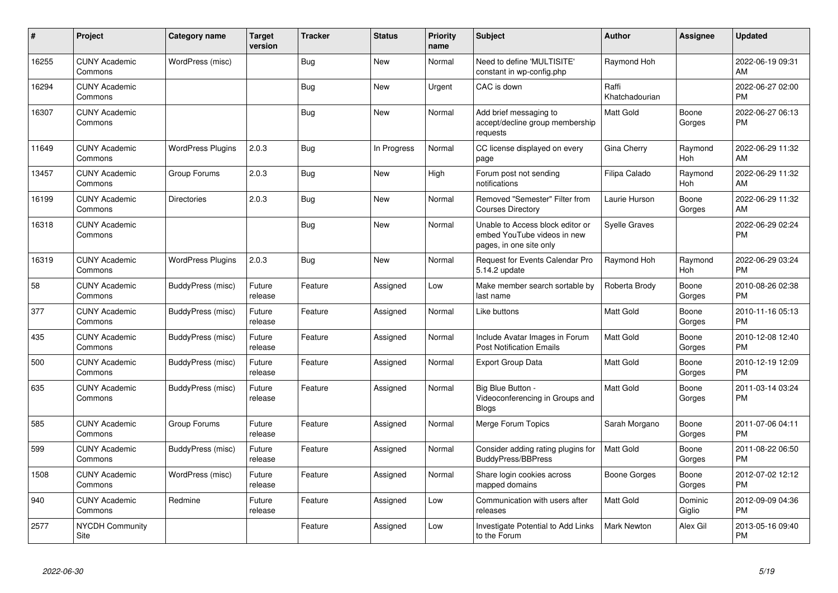| #     | Project                         | <b>Category name</b>     | <b>Target</b><br>version | <b>Tracker</b> | <b>Status</b> | <b>Priority</b><br>name | <b>Subject</b>                                                                             | <b>Author</b>           | <b>Assignee</b>   | <b>Updated</b>                |
|-------|---------------------------------|--------------------------|--------------------------|----------------|---------------|-------------------------|--------------------------------------------------------------------------------------------|-------------------------|-------------------|-------------------------------|
| 16255 | <b>CUNY Academic</b><br>Commons | WordPress (misc)         |                          | <b>Bug</b>     | New           | Normal                  | Need to define 'MULTISITE'<br>constant in wp-config.php                                    | Raymond Hoh             |                   | 2022-06-19 09:31<br>AM        |
| 16294 | <b>CUNY Academic</b><br>Commons |                          |                          | Bug            | <b>New</b>    | Urgent                  | CAC is down                                                                                | Raffi<br>Khatchadourian |                   | 2022-06-27 02:00<br><b>PM</b> |
| 16307 | <b>CUNY Academic</b><br>Commons |                          |                          | <b>Bug</b>     | New           | Normal                  | Add brief messaging to<br>accept/decline group membership<br>requests                      | Matt Gold               | Boone<br>Gorges   | 2022-06-27 06:13<br><b>PM</b> |
| 11649 | <b>CUNY Academic</b><br>Commons | <b>WordPress Plugins</b> | 2.0.3                    | Bug            | In Progress   | Normal                  | CC license displayed on every<br>page                                                      | Gina Cherry             | Raymond<br>Hoh    | 2022-06-29 11:32<br>AM        |
| 13457 | <b>CUNY Academic</b><br>Commons | Group Forums             | 2.0.3                    | <b>Bug</b>     | <b>New</b>    | High                    | Forum post not sending<br>notifications                                                    | Filipa Calado           | Raymond<br>Hoh    | 2022-06-29 11:32<br>AM        |
| 16199 | <b>CUNY Academic</b><br>Commons | <b>Directories</b>       | 2.0.3                    | Bug            | <b>New</b>    | Normal                  | Removed "Semester" Filter from<br><b>Courses Directory</b>                                 | Laurie Hurson           | Boone<br>Gorges   | 2022-06-29 11:32<br>AM        |
| 16318 | <b>CUNY Academic</b><br>Commons |                          |                          | <b>Bug</b>     | <b>New</b>    | Normal                  | Unable to Access block editor or<br>embed YouTube videos in new<br>pages, in one site only | <b>Syelle Graves</b>    |                   | 2022-06-29 02:24<br><b>PM</b> |
| 16319 | <b>CUNY Academic</b><br>Commons | <b>WordPress Plugins</b> | 2.0.3                    | Bug            | New           | Normal                  | <b>Request for Events Calendar Pro</b><br>5.14.2 update                                    | Raymond Hoh             | Raymond<br>Hoh    | 2022-06-29 03:24<br><b>PM</b> |
| 58    | <b>CUNY Academic</b><br>Commons | BuddyPress (misc)        | Future<br>release        | Feature        | Assigned      | Low                     | Make member search sortable by<br>last name                                                | Roberta Brody           | Boone<br>Gorges   | 2010-08-26 02:38<br><b>PM</b> |
| 377   | <b>CUNY Academic</b><br>Commons | BuddyPress (misc)        | Future<br>release        | Feature        | Assigned      | Normal                  | Like buttons                                                                               | <b>Matt Gold</b>        | Boone<br>Gorges   | 2010-11-16 05:13<br><b>PM</b> |
| 435   | <b>CUNY Academic</b><br>Commons | BuddyPress (misc)        | Future<br>release        | Feature        | Assigned      | Normal                  | Include Avatar Images in Forum<br><b>Post Notification Emails</b>                          | <b>Matt Gold</b>        | Boone<br>Gorges   | 2010-12-08 12:40<br><b>PM</b> |
| 500   | <b>CUNY Academic</b><br>Commons | BuddyPress (misc)        | Future<br>release        | Feature        | Assigned      | Normal                  | <b>Export Group Data</b>                                                                   | <b>Matt Gold</b>        | Boone<br>Gorges   | 2010-12-19 12:09<br><b>PM</b> |
| 635   | <b>CUNY Academic</b><br>Commons | BuddyPress (misc)        | Future<br>release        | Feature        | Assigned      | Normal                  | Big Blue Button -<br>Videoconferencing in Groups and<br><b>Blogs</b>                       | <b>Matt Gold</b>        | Boone<br>Gorges   | 2011-03-14 03:24<br><b>PM</b> |
| 585   | <b>CUNY Academic</b><br>Commons | Group Forums             | Future<br>release        | Feature        | Assigned      | Normal                  | Merge Forum Topics                                                                         | Sarah Morgano           | Boone<br>Gorges   | 2011-07-06 04:11<br><b>PM</b> |
| 599   | <b>CUNY Academic</b><br>Commons | BuddyPress (misc)        | Future<br>release        | Feature        | Assigned      | Normal                  | Consider adding rating plugins for<br><b>BuddyPress/BBPress</b>                            | <b>Matt Gold</b>        | Boone<br>Gorges   | 2011-08-22 06:50<br><b>PM</b> |
| 1508  | <b>CUNY Academic</b><br>Commons | WordPress (misc)         | Future<br>release        | Feature        | Assigned      | Normal                  | Share login cookies across<br>mapped domains                                               | Boone Gorges            | Boone<br>Gorges   | 2012-07-02 12:12<br><b>PM</b> |
| 940   | <b>CUNY Academic</b><br>Commons | Redmine                  | Future<br>release        | Feature        | Assigned      | Low                     | Communication with users after<br>releases                                                 | <b>Matt Gold</b>        | Dominic<br>Giglio | 2012-09-09 04:36<br><b>PM</b> |
| 2577  | <b>NYCDH Community</b><br>Site  |                          |                          | Feature        | Assigned      | Low                     | <b>Investigate Potential to Add Links</b><br>to the Forum                                  | <b>Mark Newton</b>      | Alex Gil          | 2013-05-16 09:40<br><b>PM</b> |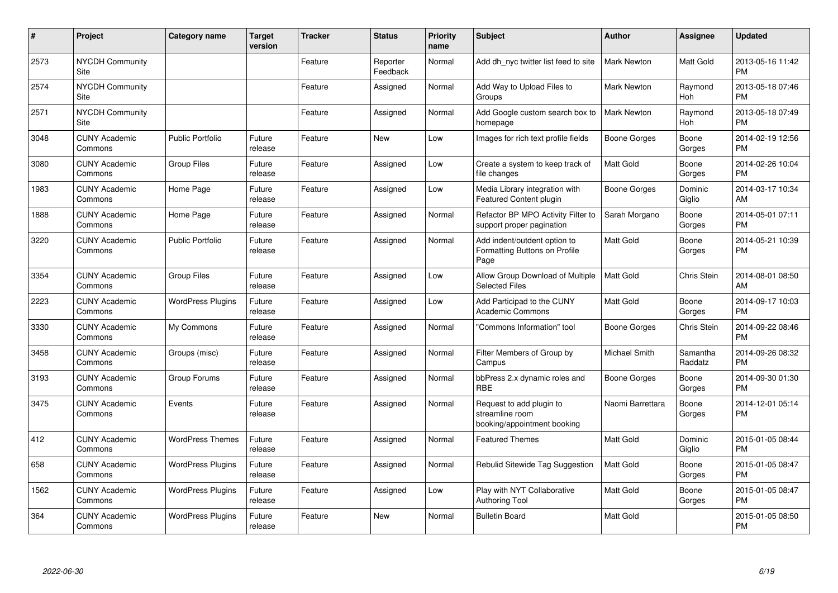| #    | Project                         | <b>Category name</b>     | <b>Target</b><br>version | <b>Tracker</b> | <b>Status</b>        | <b>Priority</b><br>name | <b>Subject</b>                                                             | <b>Author</b>      | <b>Assignee</b>     | <b>Updated</b>                |
|------|---------------------------------|--------------------------|--------------------------|----------------|----------------------|-------------------------|----------------------------------------------------------------------------|--------------------|---------------------|-------------------------------|
| 2573 | <b>NYCDH Community</b><br>Site  |                          |                          | Feature        | Reporter<br>Feedback | Normal                  | Add dh_nyc twitter list feed to site                                       | <b>Mark Newton</b> | Matt Gold           | 2013-05-16 11:42<br><b>PM</b> |
| 2574 | <b>NYCDH Community</b><br>Site  |                          |                          | Feature        | Assigned             | Normal                  | Add Way to Upload Files to<br>Groups                                       | Mark Newton        | Raymond<br>Hoh      | 2013-05-18 07:46<br><b>PM</b> |
| 2571 | <b>NYCDH Community</b><br>Site  |                          |                          | Feature        | Assigned             | Normal                  | Add Google custom search box to<br>homepage                                | <b>Mark Newton</b> | Raymond<br>Hoh      | 2013-05-18 07:49<br><b>PM</b> |
| 3048 | <b>CUNY Academic</b><br>Commons | <b>Public Portfolio</b>  | Future<br>release        | Feature        | New                  | Low                     | Images for rich text profile fields                                        | Boone Gorges       | Boone<br>Gorges     | 2014-02-19 12:56<br><b>PM</b> |
| 3080 | <b>CUNY Academic</b><br>Commons | <b>Group Files</b>       | Future<br>release        | Feature        | Assigned             | Low                     | Create a system to keep track of<br>file changes                           | <b>Matt Gold</b>   | Boone<br>Gorges     | 2014-02-26 10:04<br><b>PM</b> |
| 1983 | <b>CUNY Academic</b><br>Commons | Home Page                | Future<br>release        | Feature        | Assigned             | Low                     | Media Library integration with<br><b>Featured Content plugin</b>           | Boone Gorges       | Dominic<br>Giglio   | 2014-03-17 10:34<br>AM        |
| 1888 | <b>CUNY Academic</b><br>Commons | Home Page                | Future<br>release        | Feature        | Assigned             | Normal                  | Refactor BP MPO Activity Filter to<br>support proper pagination            | Sarah Morgano      | Boone<br>Gorges     | 2014-05-01 07:11<br><b>PM</b> |
| 3220 | <b>CUNY Academic</b><br>Commons | <b>Public Portfolio</b>  | Future<br>release        | Feature        | Assigned             | Normal                  | Add indent/outdent option to<br>Formatting Buttons on Profile<br>Page      | Matt Gold          | Boone<br>Gorges     | 2014-05-21 10:39<br><b>PM</b> |
| 3354 | <b>CUNY Academic</b><br>Commons | <b>Group Files</b>       | Future<br>release        | Feature        | Assigned             | Low                     | Allow Group Download of Multiple<br><b>Selected Files</b>                  | <b>Matt Gold</b>   | Chris Stein         | 2014-08-01 08:50<br>AM        |
| 2223 | <b>CUNY Academic</b><br>Commons | <b>WordPress Plugins</b> | Future<br>release        | Feature        | Assigned             | Low                     | Add Participad to the CUNY<br><b>Academic Commons</b>                      | Matt Gold          | Boone<br>Gorges     | 2014-09-17 10:03<br><b>PM</b> |
| 3330 | <b>CUNY Academic</b><br>Commons | My Commons               | Future<br>release        | Feature        | Assigned             | Normal                  | "Commons Information" tool                                                 | Boone Gorges       | Chris Stein         | 2014-09-22 08:46<br><b>PM</b> |
| 3458 | <b>CUNY Academic</b><br>Commons | Groups (misc)            | Future<br>release        | Feature        | Assigned             | Normal                  | Filter Members of Group by<br>Campus                                       | Michael Smith      | Samantha<br>Raddatz | 2014-09-26 08:32<br><b>PM</b> |
| 3193 | <b>CUNY Academic</b><br>Commons | Group Forums             | Future<br>release        | Feature        | Assigned             | Normal                  | bbPress 2.x dynamic roles and<br><b>RBE</b>                                | Boone Gorges       | Boone<br>Gorges     | 2014-09-30 01:30<br><b>PM</b> |
| 3475 | <b>CUNY Academic</b><br>Commons | Events                   | Future<br>release        | Feature        | Assigned             | Normal                  | Request to add plugin to<br>streamline room<br>booking/appointment booking | Naomi Barrettara   | Boone<br>Gorges     | 2014-12-01 05:14<br><b>PM</b> |
| 412  | <b>CUNY Academic</b><br>Commons | <b>WordPress Themes</b>  | Future<br>release        | Feature        | Assigned             | Normal                  | <b>Featured Themes</b>                                                     | Matt Gold          | Dominic<br>Giglio   | 2015-01-05 08:44<br><b>PM</b> |
| 658  | <b>CUNY Academic</b><br>Commons | <b>WordPress Plugins</b> | Future<br>release        | Feature        | Assigned             | Normal                  | Rebulid Sitewide Tag Suggestion                                            | <b>Matt Gold</b>   | Boone<br>Gorges     | 2015-01-05 08:47<br><b>PM</b> |
| 1562 | <b>CUNY Academic</b><br>Commons | <b>WordPress Plugins</b> | Future<br>release        | Feature        | Assigned             | Low                     | Play with NYT Collaborative<br><b>Authoring Tool</b>                       | <b>Matt Gold</b>   | Boone<br>Gorges     | 2015-01-05 08:47<br><b>PM</b> |
| 364  | <b>CUNY Academic</b><br>Commons | <b>WordPress Plugins</b> | Future<br>release        | Feature        | <b>New</b>           | Normal                  | <b>Bulletin Board</b>                                                      | <b>Matt Gold</b>   |                     | 2015-01-05 08:50<br>PM        |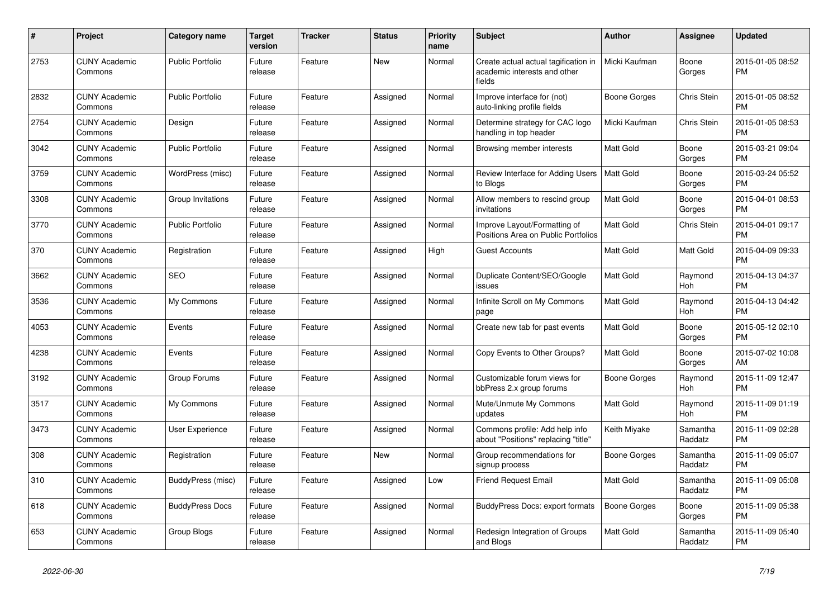| #    | Project                         | <b>Category name</b>    | <b>Target</b><br>version | <b>Tracker</b> | <b>Status</b> | <b>Priority</b><br>name | <b>Subject</b>                                                                 | <b>Author</b>    | <b>Assignee</b>     | <b>Updated</b>                |
|------|---------------------------------|-------------------------|--------------------------|----------------|---------------|-------------------------|--------------------------------------------------------------------------------|------------------|---------------------|-------------------------------|
| 2753 | <b>CUNY Academic</b><br>Commons | <b>Public Portfolio</b> | Future<br>release        | Feature        | New           | Normal                  | Create actual actual tagification in<br>academic interests and other<br>fields | Micki Kaufman    | Boone<br>Gorges     | 2015-01-05 08:52<br><b>PM</b> |
| 2832 | <b>CUNY Academic</b><br>Commons | <b>Public Portfolio</b> | Future<br>release        | Feature        | Assigned      | Normal                  | Improve interface for (not)<br>auto-linking profile fields                     | Boone Gorges     | Chris Stein         | 2015-01-05 08:52<br><b>PM</b> |
| 2754 | <b>CUNY Academic</b><br>Commons | Design                  | Future<br>release        | Feature        | Assigned      | Normal                  | Determine strategy for CAC logo<br>handling in top header                      | Micki Kaufman    | Chris Stein         | 2015-01-05 08:53<br><b>PM</b> |
| 3042 | <b>CUNY Academic</b><br>Commons | <b>Public Portfolio</b> | Future<br>release        | Feature        | Assigned      | Normal                  | Browsing member interests                                                      | <b>Matt Gold</b> | Boone<br>Gorges     | 2015-03-21 09:04<br><b>PM</b> |
| 3759 | <b>CUNY Academic</b><br>Commons | WordPress (misc)        | Future<br>release        | Feature        | Assigned      | Normal                  | Review Interface for Adding Users   Matt Gold<br>to Blogs                      |                  | Boone<br>Gorges     | 2015-03-24 05:52<br><b>PM</b> |
| 3308 | <b>CUNY Academic</b><br>Commons | Group Invitations       | Future<br>release        | Feature        | Assigned      | Normal                  | Allow members to rescind group<br>invitations                                  | <b>Matt Gold</b> | Boone<br>Gorges     | 2015-04-01 08:53<br><b>PM</b> |
| 3770 | <b>CUNY Academic</b><br>Commons | <b>Public Portfolio</b> | Future<br>release        | Feature        | Assigned      | Normal                  | Improve Layout/Formatting of<br>Positions Area on Public Portfolios            | <b>Matt Gold</b> | Chris Stein         | 2015-04-01 09:17<br><b>PM</b> |
| 370  | <b>CUNY Academic</b><br>Commons | Registration            | Future<br>release        | Feature        | Assigned      | High                    | <b>Guest Accounts</b>                                                          | Matt Gold        | Matt Gold           | 2015-04-09 09:33<br><b>PM</b> |
| 3662 | <b>CUNY Academic</b><br>Commons | <b>SEO</b>              | Future<br>release        | Feature        | Assigned      | Normal                  | Duplicate Content/SEO/Google<br>issues                                         | Matt Gold        | Raymond<br>Hoh      | 2015-04-13 04:37<br><b>PM</b> |
| 3536 | <b>CUNY Academic</b><br>Commons | My Commons              | Future<br>release        | Feature        | Assigned      | Normal                  | Infinite Scroll on My Commons<br>page                                          | <b>Matt Gold</b> | Raymond<br>Hoh      | 2015-04-13 04:42<br><b>PM</b> |
| 4053 | <b>CUNY Academic</b><br>Commons | Events                  | Future<br>release        | Feature        | Assigned      | Normal                  | Create new tab for past events                                                 | Matt Gold        | Boone<br>Gorges     | 2015-05-12 02:10<br><b>PM</b> |
| 4238 | <b>CUNY Academic</b><br>Commons | Events                  | Future<br>release        | Feature        | Assigned      | Normal                  | Copy Events to Other Groups?                                                   | <b>Matt Gold</b> | Boone<br>Gorges     | 2015-07-02 10:08<br>AM        |
| 3192 | <b>CUNY Academic</b><br>Commons | Group Forums            | Future<br>release        | Feature        | Assigned      | Normal                  | Customizable forum views for<br>bbPress 2.x group forums                       | Boone Gorges     | Raymond<br>Hoh      | 2015-11-09 12:47<br><b>PM</b> |
| 3517 | <b>CUNY Academic</b><br>Commons | My Commons              | Future<br>release        | Feature        | Assigned      | Normal                  | Mute/Unmute My Commons<br>updates                                              | Matt Gold        | Raymond<br>Hoh      | 2015-11-09 01:19<br><b>PM</b> |
| 3473 | <b>CUNY Academic</b><br>Commons | User Experience         | Future<br>release        | Feature        | Assigned      | Normal                  | Commons profile: Add help info<br>about "Positions" replacing "title"          | Keith Miyake     | Samantha<br>Raddatz | 2015-11-09 02:28<br><b>PM</b> |
| 308  | <b>CUNY Academic</b><br>Commons | Registration            | Future<br>release        | Feature        | New           | Normal                  | Group recommendations for<br>signup process                                    | Boone Gorges     | Samantha<br>Raddatz | 2015-11-09 05:07<br><b>PM</b> |
| 310  | <b>CUNY Academic</b><br>Commons | BuddyPress (misc)       | Future<br>release        | Feature        | Assigned      | Low                     | <b>Friend Request Email</b>                                                    | <b>Matt Gold</b> | Samantha<br>Raddatz | 2015-11-09 05:08<br><b>PM</b> |
| 618  | <b>CUNY Academic</b><br>Commons | <b>BuddyPress Docs</b>  | Future<br>release        | Feature        | Assigned      | Normal                  | <b>BuddyPress Docs: export formats</b>                                         | Boone Gorges     | Boone<br>Gorges     | 2015-11-09 05:38<br><b>PM</b> |
| 653  | <b>CUNY Academic</b><br>Commons | Group Blogs             | Future<br>release        | Feature        | Assigned      | Normal                  | Redesign Integration of Groups<br>and Blogs                                    | <b>Matt Gold</b> | Samantha<br>Raddatz | 2015-11-09 05:40<br><b>PM</b> |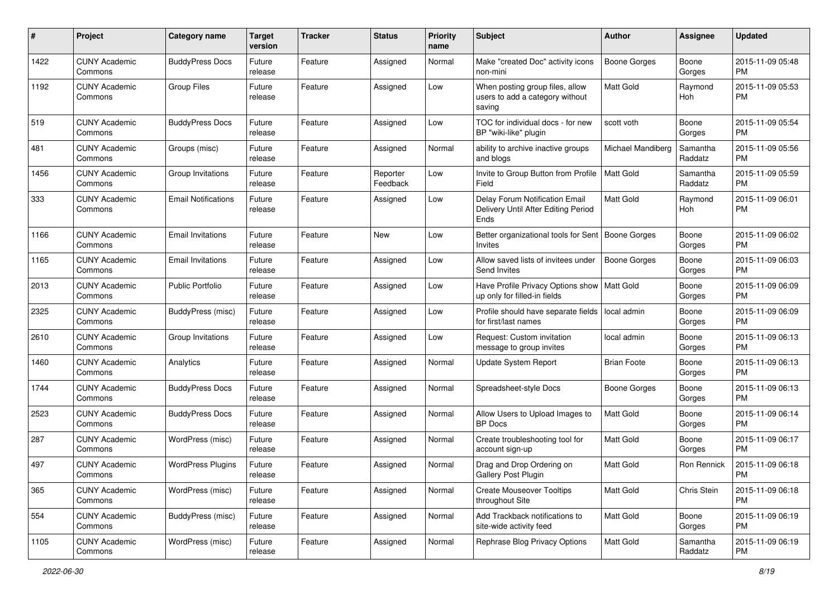| #    | Project                         | <b>Category name</b>       | <b>Target</b><br>version | <b>Tracker</b> | <b>Status</b>        | <b>Priority</b><br>name | Subject                                                                       | Author              | <b>Assignee</b>     | <b>Updated</b>                |
|------|---------------------------------|----------------------------|--------------------------|----------------|----------------------|-------------------------|-------------------------------------------------------------------------------|---------------------|---------------------|-------------------------------|
| 1422 | <b>CUNY Academic</b><br>Commons | <b>BuddyPress Docs</b>     | Future<br>release        | Feature        | Assigned             | Normal                  | Make "created Doc" activity icons<br>non-mini                                 | <b>Boone Gorges</b> | Boone<br>Gorges     | 2015-11-09 05:48<br><b>PM</b> |
| 1192 | <b>CUNY Academic</b><br>Commons | <b>Group Files</b>         | Future<br>release        | Feature        | Assigned             | Low                     | When posting group files, allow<br>users to add a category without<br>saving  | Matt Gold           | Raymond<br>Hoh      | 2015-11-09 05:53<br><b>PM</b> |
| 519  | <b>CUNY Academic</b><br>Commons | <b>BuddyPress Docs</b>     | Future<br>release        | Feature        | Assigned             | Low                     | TOC for individual docs - for new<br>BP "wiki-like" plugin                    | scott voth          | Boone<br>Gorges     | 2015-11-09 05:54<br><b>PM</b> |
| 481  | <b>CUNY Academic</b><br>Commons | Groups (misc)              | Future<br>release        | Feature        | Assigned             | Normal                  | ability to archive inactive groups<br>and blogs                               | Michael Mandiberg   | Samantha<br>Raddatz | 2015-11-09 05:56<br><b>PM</b> |
| 1456 | <b>CUNY Academic</b><br>Commons | Group Invitations          | Future<br>release        | Feature        | Reporter<br>Feedback | Low                     | Invite to Group Button from Profile<br>Field                                  | <b>Matt Gold</b>    | Samantha<br>Raddatz | 2015-11-09 05:59<br><b>PM</b> |
| 333  | <b>CUNY Academic</b><br>Commons | <b>Email Notifications</b> | Future<br>release        | Feature        | Assigned             | Low                     | Delay Forum Notification Email<br>Delivery Until After Editing Period<br>Ends | <b>Matt Gold</b>    | Raymond<br>Hoh      | 2015-11-09 06:01<br><b>PM</b> |
| 1166 | <b>CUNY Academic</b><br>Commons | <b>Email Invitations</b>   | Future<br>release        | Feature        | New                  | Low                     | Better organizational tools for Sent   Boone Gorges<br><b>Invites</b>         |                     | Boone<br>Gorges     | 2015-11-09 06:02<br><b>PM</b> |
| 1165 | <b>CUNY Academic</b><br>Commons | <b>Email Invitations</b>   | Future<br>release        | Feature        | Assigned             | Low                     | Allow saved lists of invitees under<br>Send Invites                           | <b>Boone Gorges</b> | Boone<br>Gorges     | 2015-11-09 06:03<br><b>PM</b> |
| 2013 | <b>CUNY Academic</b><br>Commons | Public Portfolio           | Future<br>release        | Feature        | Assigned             | Low                     | Have Profile Privacy Options show   Matt Gold<br>up only for filled-in fields |                     | Boone<br>Gorges     | 2015-11-09 06:09<br><b>PM</b> |
| 2325 | <b>CUNY Academic</b><br>Commons | <b>BuddyPress</b> (misc)   | Future<br>release        | Feature        | Assigned             | Low                     | Profile should have separate fields<br>for first/last names                   | l local admin       | Boone<br>Gorges     | 2015-11-09 06:09<br>PM        |
| 2610 | <b>CUNY Academic</b><br>Commons | Group Invitations          | Future<br>release        | Feature        | Assigned             | Low                     | Request: Custom invitation<br>message to group invites                        | local admin         | Boone<br>Gorges     | 2015-11-09 06:13<br><b>PM</b> |
| 1460 | <b>CUNY Academic</b><br>Commons | Analytics                  | Future<br>release        | Feature        | Assigned             | Normal                  | Update System Report                                                          | <b>Brian Foote</b>  | Boone<br>Gorges     | 2015-11-09 06:13<br><b>PM</b> |
| 1744 | <b>CUNY Academic</b><br>Commons | <b>BuddyPress Docs</b>     | Future<br>release        | Feature        | Assigned             | Normal                  | Spreadsheet-style Docs                                                        | Boone Gorges        | Boone<br>Gorges     | 2015-11-09 06:13<br><b>PM</b> |
| 2523 | <b>CUNY Academic</b><br>Commons | <b>BuddyPress Docs</b>     | Future<br>release        | Feature        | Assigned             | Normal                  | Allow Users to Upload Images to<br><b>BP</b> Docs                             | <b>Matt Gold</b>    | Boone<br>Gorges     | 2015-11-09 06:14<br><b>PM</b> |
| 287  | <b>CUNY Academic</b><br>Commons | WordPress (misc)           | Future<br>release        | Feature        | Assigned             | Normal                  | Create troubleshooting tool for<br>account sign-up                            | <b>Matt Gold</b>    | Boone<br>Gorges     | 2015-11-09 06:17<br><b>PM</b> |
| 497  | <b>CUNY Academic</b><br>Commons | <b>WordPress Plugins</b>   | Future<br>release        | Feature        | Assigned             | Normal                  | Drag and Drop Ordering on<br>Gallery Post Plugin                              | Matt Gold           | Ron Rennick         | 2015-11-09 06:18<br>PM        |
| 365  | <b>CUNY Academic</b><br>Commons | WordPress (misc)           | Future<br>release        | Feature        | Assigned             | Normal                  | <b>Create Mouseover Tooltips</b><br>throughout Site                           | Matt Gold           | Chris Stein         | 2015-11-09 06:18<br><b>PM</b> |
| 554  | <b>CUNY Academic</b><br>Commons | BuddyPress (misc)          | Future<br>release        | Feature        | Assigned             | Normal                  | Add Trackback notifications to<br>site-wide activity feed                     | Matt Gold           | Boone<br>Gorges     | 2015-11-09 06:19<br><b>PM</b> |
| 1105 | <b>CUNY Academic</b><br>Commons | WordPress (misc)           | Future<br>release        | Feature        | Assigned             | Normal                  | Rephrase Blog Privacy Options                                                 | Matt Gold           | Samantha<br>Raddatz | 2015-11-09 06:19<br><b>PM</b> |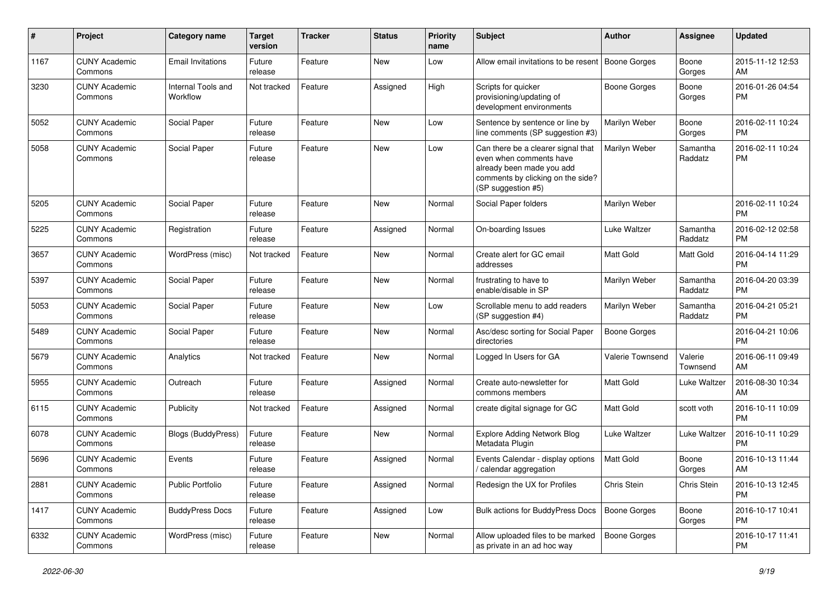| #    | Project                         | <b>Category name</b>           | <b>Target</b><br>version | <b>Tracker</b> | <b>Status</b> | Priority<br>name | <b>Subject</b>                                                                                                                                        | Author              | <b>Assignee</b>     | <b>Updated</b>                |
|------|---------------------------------|--------------------------------|--------------------------|----------------|---------------|------------------|-------------------------------------------------------------------------------------------------------------------------------------------------------|---------------------|---------------------|-------------------------------|
| 1167 | <b>CUNY Academic</b><br>Commons | <b>Email Invitations</b>       | Future<br>release        | Feature        | <b>New</b>    | Low              | Allow email invitations to be resent   Boone Gorges                                                                                                   |                     | Boone<br>Gorges     | 2015-11-12 12:53<br>AM        |
| 3230 | <b>CUNY Academic</b><br>Commons | Internal Tools and<br>Workflow | Not tracked              | Feature        | Assigned      | High             | Scripts for quicker<br>provisioning/updating of<br>development environments                                                                           | <b>Boone Gorges</b> | Boone<br>Gorges     | 2016-01-26 04:54<br><b>PM</b> |
| 5052 | <b>CUNY Academic</b><br>Commons | Social Paper                   | Future<br>release        | Feature        | New           | Low              | Sentence by sentence or line by<br>line comments (SP suggestion #3)                                                                                   | Marilyn Weber       | Boone<br>Gorges     | 2016-02-11 10:24<br><b>PM</b> |
| 5058 | <b>CUNY Academic</b><br>Commons | Social Paper                   | Future<br>release        | Feature        | <b>New</b>    | Low              | Can there be a clearer signal that<br>even when comments have<br>already been made you add<br>comments by clicking on the side?<br>(SP suggestion #5) | Marilyn Weber       | Samantha<br>Raddatz | 2016-02-11 10:24<br><b>PM</b> |
| 5205 | <b>CUNY Academic</b><br>Commons | Social Paper                   | Future<br>release        | Feature        | New           | Normal           | Social Paper folders                                                                                                                                  | Marilyn Weber       |                     | 2016-02-11 10:24<br><b>PM</b> |
| 5225 | <b>CUNY Academic</b><br>Commons | Registration                   | Future<br>release        | Feature        | Assigned      | Normal           | On-boarding Issues                                                                                                                                    | Luke Waltzer        | Samantha<br>Raddatz | 2016-02-12 02:58<br><b>PM</b> |
| 3657 | <b>CUNY Academic</b><br>Commons | WordPress (misc)               | Not tracked              | Feature        | New           | Normal           | Create alert for GC email<br>addresses                                                                                                                | <b>Matt Gold</b>    | Matt Gold           | 2016-04-14 11:29<br><b>PM</b> |
| 5397 | <b>CUNY Academic</b><br>Commons | Social Paper                   | Future<br>release        | Feature        | <b>New</b>    | Normal           | frustrating to have to<br>enable/disable in SP                                                                                                        | Marilyn Weber       | Samantha<br>Raddatz | 2016-04-20 03:39<br><b>PM</b> |
| 5053 | <b>CUNY Academic</b><br>Commons | Social Paper                   | Future<br>release        | Feature        | <b>New</b>    | Low              | Scrollable menu to add readers<br>(SP suggestion #4)                                                                                                  | Marilyn Weber       | Samantha<br>Raddatz | 2016-04-21 05:21<br><b>PM</b> |
| 5489 | <b>CUNY Academic</b><br>Commons | Social Paper                   | Future<br>release        | Feature        | <b>New</b>    | Normal           | Asc/desc sorting for Social Paper<br>directories                                                                                                      | <b>Boone Gorges</b> |                     | 2016-04-21 10:06<br><b>PM</b> |
| 5679 | <b>CUNY Academic</b><br>Commons | Analytics                      | Not tracked              | Feature        | New           | Normal           | Logged In Users for GA                                                                                                                                | Valerie Townsend    | Valerie<br>Townsend | 2016-06-11 09:49<br>AM        |
| 5955 | <b>CUNY Academic</b><br>Commons | Outreach                       | Future<br>release        | Feature        | Assigned      | Normal           | Create auto-newsletter for<br>commons members                                                                                                         | Matt Gold           | Luke Waltzer        | 2016-08-30 10:34<br>AM        |
| 6115 | <b>CUNY Academic</b><br>Commons | Publicity                      | Not tracked              | Feature        | Assigned      | Normal           | create digital signage for GC                                                                                                                         | <b>Matt Gold</b>    | scott voth          | 2016-10-11 10:09<br><b>PM</b> |
| 6078 | <b>CUNY Academic</b><br>Commons | <b>Blogs (BuddyPress)</b>      | Future<br>release        | Feature        | New           | Normal           | <b>Explore Adding Network Blog</b><br>Metadata Plugin                                                                                                 | Luke Waltzer        | Luke Waltzer        | 2016-10-11 10:29<br><b>PM</b> |
| 5696 | <b>CUNY Academic</b><br>Commons | Events                         | Future<br>release        | Feature        | Assigned      | Normal           | Events Calendar - display options<br>/ calendar aggregation                                                                                           | <b>Matt Gold</b>    | Boone<br>Gorges     | 2016-10-13 11:44<br>AM        |
| 2881 | <b>CUNY Academic</b><br>Commons | Public Portfolio               | Future<br>release        | Feature        | Assigned      | Normal           | Redesign the UX for Profiles                                                                                                                          | Chris Stein         | Chris Stein         | 2016-10-13 12:45<br><b>PM</b> |
| 1417 | <b>CUNY Academic</b><br>Commons | <b>BuddyPress Docs</b>         | Future<br>release        | Feature        | Assigned      | Low              | Bulk actions for BuddyPress Docs                                                                                                                      | <b>Boone Gorges</b> | Boone<br>Gorges     | 2016-10-17 10:41<br><b>PM</b> |
| 6332 | <b>CUNY Academic</b><br>Commons | WordPress (misc)               | Future<br>release        | Feature        | New           | Normal           | Allow uploaded files to be marked<br>as private in an ad hoc way                                                                                      | <b>Boone Gorges</b> |                     | 2016-10-17 11:41<br><b>PM</b> |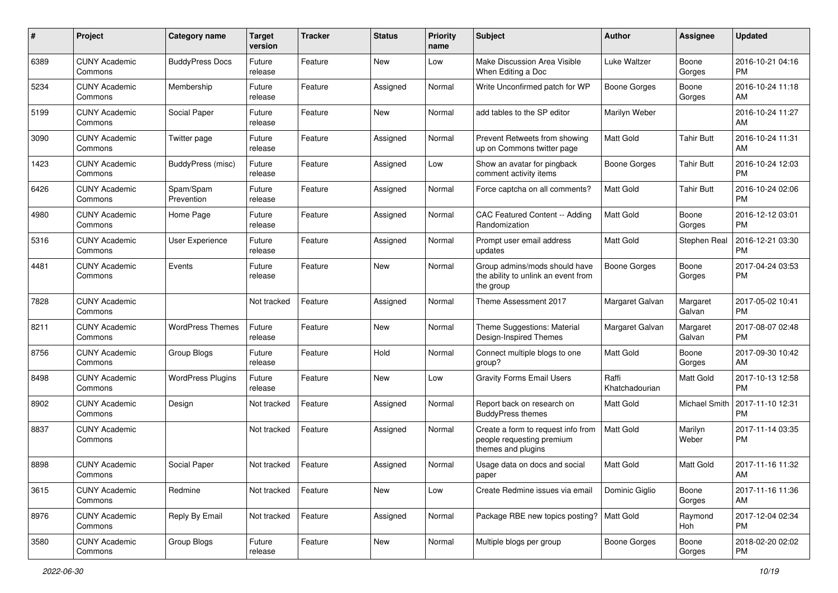| #    | Project                         | <b>Category name</b>     | <b>Target</b><br>version | <b>Tracker</b> | <b>Status</b> | <b>Priority</b><br>name | <b>Subject</b>                                                                        | Author                  | Assignee           | <b>Updated</b>                |
|------|---------------------------------|--------------------------|--------------------------|----------------|---------------|-------------------------|---------------------------------------------------------------------------------------|-------------------------|--------------------|-------------------------------|
| 6389 | <b>CUNY Academic</b><br>Commons | <b>BuddyPress Docs</b>   | Future<br>release        | Feature        | New           | Low                     | Make Discussion Area Visible<br>When Editing a Doc                                    | Luke Waltzer            | Boone<br>Gorges    | 2016-10-21 04:16<br>PM.       |
| 5234 | <b>CUNY Academic</b><br>Commons | Membership               | Future<br>release        | Feature        | Assigned      | Normal                  | Write Unconfirmed patch for WP                                                        | <b>Boone Gorges</b>     | Boone<br>Gorges    | 2016-10-24 11:18<br>AM        |
| 5199 | <b>CUNY Academic</b><br>Commons | Social Paper             | Future<br>release        | Feature        | New           | Normal                  | add tables to the SP editor                                                           | Marilyn Weber           |                    | 2016-10-24 11:27<br>AM        |
| 3090 | <b>CUNY Academic</b><br>Commons | Twitter page             | Future<br>release        | Feature        | Assigned      | Normal                  | Prevent Retweets from showing<br>up on Commons twitter page                           | <b>Matt Gold</b>        | <b>Tahir Butt</b>  | 2016-10-24 11:31<br>AM        |
| 1423 | <b>CUNY Academic</b><br>Commons | BuddyPress (misc)        | Future<br>release        | Feature        | Assigned      | Low                     | Show an avatar for pingback<br>comment activity items                                 | Boone Gorges            | <b>Tahir Butt</b>  | 2016-10-24 12:03<br><b>PM</b> |
| 6426 | <b>CUNY Academic</b><br>Commons | Spam/Spam<br>Prevention  | Future<br>release        | Feature        | Assigned      | Normal                  | Force captcha on all comments?                                                        | <b>Matt Gold</b>        | <b>Tahir Butt</b>  | 2016-10-24 02:06<br><b>PM</b> |
| 4980 | <b>CUNY Academic</b><br>Commons | Home Page                | Future<br>release        | Feature        | Assigned      | Normal                  | CAC Featured Content -- Adding<br>Randomization                                       | <b>Matt Gold</b>        | Boone<br>Gorges    | 2016-12-12 03:01<br><b>PM</b> |
| 5316 | <b>CUNY Academic</b><br>Commons | User Experience          | Future<br>release        | Feature        | Assigned      | Normal                  | Prompt user email address<br>updates                                                  | <b>Matt Gold</b>        | Stephen Real       | 2016-12-21 03:30<br><b>PM</b> |
| 4481 | <b>CUNY Academic</b><br>Commons | Events                   | Future<br>release        | Feature        | New           | Normal                  | Group admins/mods should have<br>the ability to unlink an event from<br>the group     | <b>Boone Gorges</b>     | Boone<br>Gorges    | 2017-04-24 03:53<br><b>PM</b> |
| 7828 | <b>CUNY Academic</b><br>Commons |                          | Not tracked              | Feature        | Assigned      | Normal                  | Theme Assessment 2017                                                                 | Margaret Galvan         | Margaret<br>Galvan | 2017-05-02 10:41<br><b>PM</b> |
| 8211 | <b>CUNY Academic</b><br>Commons | <b>WordPress Themes</b>  | Future<br>release        | Feature        | New           | Normal                  | Theme Suggestions: Material<br>Design-Inspired Themes                                 | Margaret Galvan         | Margaret<br>Galvan | 2017-08-07 02:48<br><b>PM</b> |
| 8756 | <b>CUNY Academic</b><br>Commons | Group Blogs              | Future<br>release        | Feature        | Hold          | Normal                  | Connect multiple blogs to one<br>group?                                               | <b>Matt Gold</b>        | Boone<br>Gorges    | 2017-09-30 10:42<br>AM        |
| 8498 | <b>CUNY Academic</b><br>Commons | <b>WordPress Plugins</b> | Future<br>release        | Feature        | New           | Low                     | <b>Gravity Forms Email Users</b>                                                      | Raffi<br>Khatchadourian | Matt Gold          | 2017-10-13 12:58<br><b>PM</b> |
| 8902 | <b>CUNY Academic</b><br>Commons | Design                   | Not tracked              | Feature        | Assigned      | Normal                  | Report back on research on<br><b>BuddyPress themes</b>                                | <b>Matt Gold</b>        | Michael Smith      | 2017-11-10 12:31<br><b>PM</b> |
| 8837 | <b>CUNY Academic</b><br>Commons |                          | Not tracked              | Feature        | Assigned      | Normal                  | Create a form to request info from<br>people requesting premium<br>themes and plugins | <b>Matt Gold</b>        | Marilyn<br>Weber   | 2017-11-14 03:35<br>PM        |
| 8898 | <b>CUNY Academic</b><br>Commons | Social Paper             | Not tracked              | Feature        | Assigned      | Normal                  | Usage data on docs and social<br>paper                                                | <b>Matt Gold</b>        | Matt Gold          | 2017-11-16 11:32<br>AM        |
| 3615 | <b>CUNY Academic</b><br>Commons | Redmine                  | Not tracked              | Feature        | New           | Low                     | Create Redmine issues via email                                                       | Dominic Giglio          | Boone<br>Gorges    | 2017-11-16 11:36<br>AM        |
| 8976 | <b>CUNY Academic</b><br>Commons | Reply By Email           | Not tracked              | Feature        | Assigned      | Normal                  | Package RBE new topics posting?   Matt Gold                                           |                         | Raymond<br>Hoh     | 2017-12-04 02:34<br><b>PM</b> |
| 3580 | <b>CUNY Academic</b><br>Commons | Group Blogs              | Future<br>release        | Feature        | New           | Normal                  | Multiple blogs per group                                                              | Boone Gorges            | Boone<br>Gorges    | 2018-02-20 02:02<br>PM        |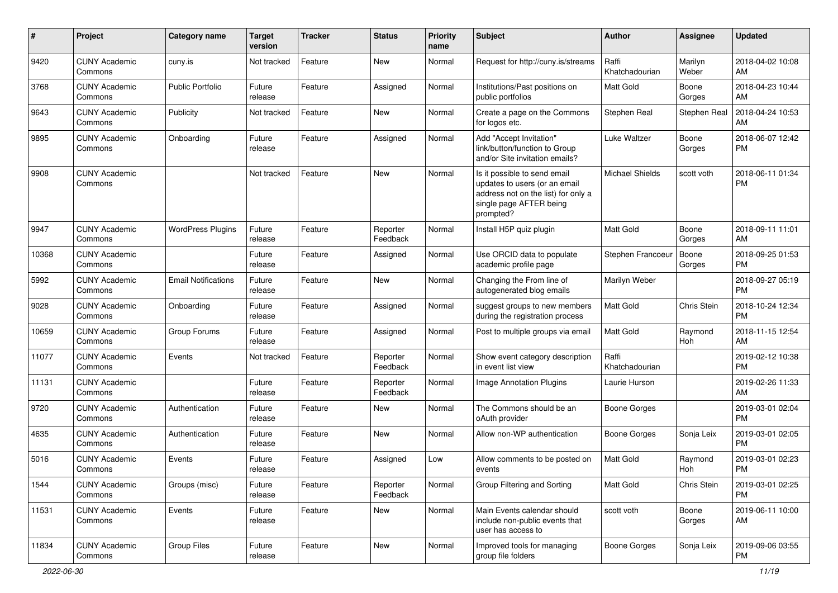| #     | Project                         | Category name              | <b>Target</b><br>version | Tracker | <b>Status</b>        | <b>Priority</b><br>name | <b>Subject</b>                                                                                                                               | Author                  | Assignee         | <b>Updated</b>                |
|-------|---------------------------------|----------------------------|--------------------------|---------|----------------------|-------------------------|----------------------------------------------------------------------------------------------------------------------------------------------|-------------------------|------------------|-------------------------------|
| 9420  | <b>CUNY Academic</b><br>Commons | cuny.is                    | Not tracked              | Feature | <b>New</b>           | Normal                  | Request for http://cuny.is/streams                                                                                                           | Raffi<br>Khatchadourian | Marilyn<br>Weber | 2018-04-02 10:08<br>AM        |
| 3768  | <b>CUNY Academic</b><br>Commons | <b>Public Portfolio</b>    | Future<br>release        | Feature | Assigned             | Normal                  | Institutions/Past positions on<br>public portfolios                                                                                          | <b>Matt Gold</b>        | Boone<br>Gorges  | 2018-04-23 10:44<br>AM        |
| 9643  | <b>CUNY Academic</b><br>Commons | Publicity                  | Not tracked              | Feature | <b>New</b>           | Normal                  | Create a page on the Commons<br>for logos etc.                                                                                               | Stephen Real            | Stephen Real     | 2018-04-24 10:53<br>AM        |
| 9895  | <b>CUNY Academic</b><br>Commons | Onboarding                 | Future<br>release        | Feature | Assigned             | Normal                  | Add "Accept Invitation"<br>link/button/function to Group<br>and/or Site invitation emails?                                                   | Luke Waltzer            | Boone<br>Gorges  | 2018-06-07 12:42<br><b>PM</b> |
| 9908  | <b>CUNY Academic</b><br>Commons |                            | Not tracked              | Feature | <b>New</b>           | Normal                  | Is it possible to send email<br>updates to users (or an email<br>address not on the list) for only a<br>single page AFTER being<br>prompted? | <b>Michael Shields</b>  | scott voth       | 2018-06-11 01:34<br><b>PM</b> |
| 9947  | <b>CUNY Academic</b><br>Commons | <b>WordPress Plugins</b>   | Future<br>release        | Feature | Reporter<br>Feedback | Normal                  | Install H5P quiz plugin                                                                                                                      | <b>Matt Gold</b>        | Boone<br>Gorges  | 2018-09-11 11:01<br>AM        |
| 10368 | <b>CUNY Academic</b><br>Commons |                            | Future<br>release        | Feature | Assigned             | Normal                  | Use ORCID data to populate<br>academic profile page                                                                                          | Stephen Francoeur       | Boone<br>Gorges  | 2018-09-25 01:53<br><b>PM</b> |
| 5992  | <b>CUNY Academic</b><br>Commons | <b>Email Notifications</b> | Future<br>release        | Feature | <b>New</b>           | Normal                  | Changing the From line of<br>autogenerated blog emails                                                                                       | Marilyn Weber           |                  | 2018-09-27 05:19<br><b>PM</b> |
| 9028  | <b>CUNY Academic</b><br>Commons | Onboarding                 | Future<br>release        | Feature | Assigned             | Normal                  | suggest groups to new members<br>during the registration process                                                                             | Matt Gold               | Chris Stein      | 2018-10-24 12:34<br><b>PM</b> |
| 10659 | <b>CUNY Academic</b><br>Commons | Group Forums               | Future<br>release        | Feature | Assigned             | Normal                  | Post to multiple groups via email                                                                                                            | Matt Gold               | Raymond<br>Hoh   | 2018-11-15 12:54<br>AM        |
| 11077 | <b>CUNY Academic</b><br>Commons | Events                     | Not tracked              | Feature | Reporter<br>Feedback | Normal                  | Show event category description<br>in event list view                                                                                        | Raffi<br>Khatchadourian |                  | 2019-02-12 10:38<br><b>PM</b> |
| 11131 | <b>CUNY Academic</b><br>Commons |                            | Future<br>release        | Feature | Reporter<br>Feedback | Normal                  | Image Annotation Plugins                                                                                                                     | Laurie Hurson           |                  | 2019-02-26 11:33<br>AM        |
| 9720  | <b>CUNY Academic</b><br>Commons | Authentication             | Future<br>release        | Feature | New                  | Normal                  | The Commons should be an<br>oAuth provider                                                                                                   | <b>Boone Gorges</b>     |                  | 2019-03-01 02:04<br><b>PM</b> |
| 4635  | <b>CUNY Academic</b><br>Commons | Authentication             | Future<br>release        | Feature | <b>New</b>           | Normal                  | Allow non-WP authentication                                                                                                                  | <b>Boone Gorges</b>     | Sonja Leix       | 2019-03-01 02:05<br><b>PM</b> |
| 5016  | <b>CUNY Academic</b><br>Commons | Events                     | Future<br>release        | Feature | Assigned             | Low                     | Allow comments to be posted on<br>events                                                                                                     | <b>Matt Gold</b>        | Raymond<br>Hoh   | 2019-03-01 02:23<br><b>PM</b> |
| 1544  | <b>CUNY Academic</b><br>Commons | Groups (misc)              | Future<br>release        | Feature | Reporter<br>Feedback | Normal                  | Group Filtering and Sorting                                                                                                                  | Matt Gold               | Chris Stein      | 2019-03-01 02:25<br><b>PM</b> |
| 11531 | <b>CUNY Academic</b><br>Commons | Events                     | Future<br>release        | Feature | New                  | Normal                  | Main Events calendar should<br>include non-public events that<br>user has access to                                                          | scott voth              | Boone<br>Gorges  | 2019-06-11 10:00<br>AM        |
| 11834 | <b>CUNY Academic</b><br>Commons | Group Files                | Future<br>release        | Feature | New                  | Normal                  | Improved tools for managing<br>group file folders                                                                                            | Boone Gorges            | Sonja Leix       | 2019-09-06 03:55<br>PM        |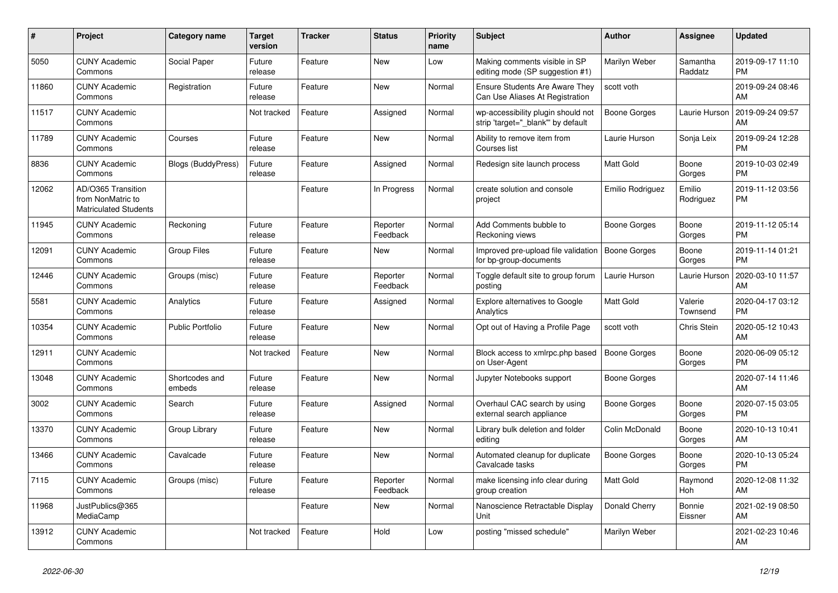| #     | <b>Project</b>                                                          | <b>Category name</b>      | <b>Target</b><br>version | <b>Tracker</b> | <b>Status</b>        | <b>Priority</b><br>name | <b>Subject</b>                                                          | <b>Author</b>    | Assignee            | <b>Updated</b>                |
|-------|-------------------------------------------------------------------------|---------------------------|--------------------------|----------------|----------------------|-------------------------|-------------------------------------------------------------------------|------------------|---------------------|-------------------------------|
| 5050  | <b>CUNY Academic</b><br>Commons                                         | Social Paper              | Future<br>release        | Feature        | <b>New</b>           | Low                     | Making comments visible in SP<br>editing mode (SP suggestion #1)        | Marilyn Weber    | Samantha<br>Raddatz | 2019-09-17 11:10<br><b>PM</b> |
| 11860 | <b>CUNY Academic</b><br>Commons                                         | Registration              | Future<br>release        | Feature        | <b>New</b>           | Normal                  | Ensure Students Are Aware They<br>Can Use Aliases At Registration       | scott voth       |                     | 2019-09-24 08:46<br>AM        |
| 11517 | <b>CUNY Academic</b><br>Commons                                         |                           | Not tracked              | Feature        | Assigned             | Normal                  | wp-accessibility plugin should not<br>strip 'target=" blank" by default | Boone Gorges     | Laurie Hurson       | 2019-09-24 09:57<br>AM        |
| 11789 | <b>CUNY Academic</b><br>Commons                                         | Courses                   | Future<br>release        | Feature        | <b>New</b>           | Normal                  | Ability to remove item from<br>Courses list                             | Laurie Hurson    | Sonja Leix          | 2019-09-24 12:28<br><b>PM</b> |
| 8836  | <b>CUNY Academic</b><br>Commons                                         | <b>Blogs (BuddyPress)</b> | Future<br>release        | Feature        | Assigned             | Normal                  | Redesign site launch process                                            | <b>Matt Gold</b> | Boone<br>Gorges     | 2019-10-03 02:49<br><b>PM</b> |
| 12062 | AD/O365 Transition<br>from NonMatric to<br><b>Matriculated Students</b> |                           |                          | Feature        | In Progress          | Normal                  | create solution and console<br>project                                  | Emilio Rodriguez | Emilio<br>Rodriguez | 2019-11-12 03:56<br>PM.       |
| 11945 | <b>CUNY Academic</b><br>Commons                                         | Reckoning                 | Future<br>release        | Feature        | Reporter<br>Feedback | Normal                  | Add Comments bubble to<br>Reckoning views                               | Boone Gorges     | Boone<br>Gorges     | 2019-11-12 05:14<br><b>PM</b> |
| 12091 | <b>CUNY Academic</b><br>Commons                                         | <b>Group Files</b>        | Future<br>release        | Feature        | New                  | Normal                  | Improved pre-upload file validation<br>for bp-group-documents           | Boone Gorges     | Boone<br>Gorges     | 2019-11-14 01:21<br><b>PM</b> |
| 12446 | <b>CUNY Academic</b><br>Commons                                         | Groups (misc)             | Future<br>release        | Feature        | Reporter<br>Feedback | Normal                  | Toggle default site to group forum<br>posting                           | Laurie Hurson    | Laurie Hurson       | 2020-03-10 11:57<br><b>AM</b> |
| 5581  | <b>CUNY Academic</b><br>Commons                                         | Analytics                 | Future<br>release        | Feature        | Assigned             | Normal                  | <b>Explore alternatives to Google</b><br>Analytics                      | <b>Matt Gold</b> | Valerie<br>Townsend | 2020-04-17 03:12<br><b>PM</b> |
| 10354 | <b>CUNY Academic</b><br>Commons                                         | <b>Public Portfolio</b>   | Future<br>release        | Feature        | <b>New</b>           | Normal                  | Opt out of Having a Profile Page                                        | scott voth       | Chris Stein         | 2020-05-12 10:43<br>AM        |
| 12911 | <b>CUNY Academic</b><br>Commons                                         |                           | Not tracked              | Feature        | New                  | Normal                  | Block access to xmlrpc.php based<br>on User-Agent                       | Boone Gorges     | Boone<br>Gorges     | 2020-06-09 05:12<br><b>PM</b> |
| 13048 | <b>CUNY Academic</b><br>Commons                                         | Shortcodes and<br>embeds  | Future<br>release        | Feature        | <b>New</b>           | Normal                  | Jupyter Notebooks support                                               | Boone Gorges     |                     | 2020-07-14 11:46<br>AM        |
| 3002  | <b>CUNY Academic</b><br>Commons                                         | Search                    | Future<br>release        | Feature        | Assigned             | Normal                  | Overhaul CAC search by using<br>external search appliance               | Boone Gorges     | Boone<br>Gorges     | 2020-07-15 03:05<br><b>PM</b> |
| 13370 | <b>CUNY Academic</b><br>Commons                                         | Group Library             | Future<br>release        | Feature        | New                  | Normal                  | Library bulk deletion and folder<br>editing                             | Colin McDonald   | Boone<br>Gorges     | 2020-10-13 10:41<br><b>AM</b> |
| 13466 | <b>CUNY Academic</b><br>Commons                                         | Cavalcade                 | Future<br>release        | Feature        | <b>New</b>           | Normal                  | Automated cleanup for duplicate<br>Cavalcade tasks                      | Boone Gorges     | Boone<br>Gorges     | 2020-10-13 05:24<br><b>PM</b> |
| 7115  | <b>CUNY Academic</b><br>Commons                                         | Groups (misc)             | Future<br>release        | Feature        | Reporter<br>Feedback | Normal                  | make licensing info clear during<br>group creation                      | <b>Matt Gold</b> | Raymond<br>Hoh      | 2020-12-08 11:32<br>AM        |
| 11968 | JustPublics@365<br>MediaCamp                                            |                           |                          | Feature        | New                  | Normal                  | Nanoscience Retractable Display<br>Unit                                 | Donald Cherry    | Bonnie<br>Eissner   | 2021-02-19 08:50<br><b>AM</b> |
| 13912 | <b>CUNY Academic</b><br>Commons                                         |                           | Not tracked              | Feature        | Hold                 | Low                     | posting "missed schedule"                                               | Marilyn Weber    |                     | 2021-02-23 10:46<br>AM        |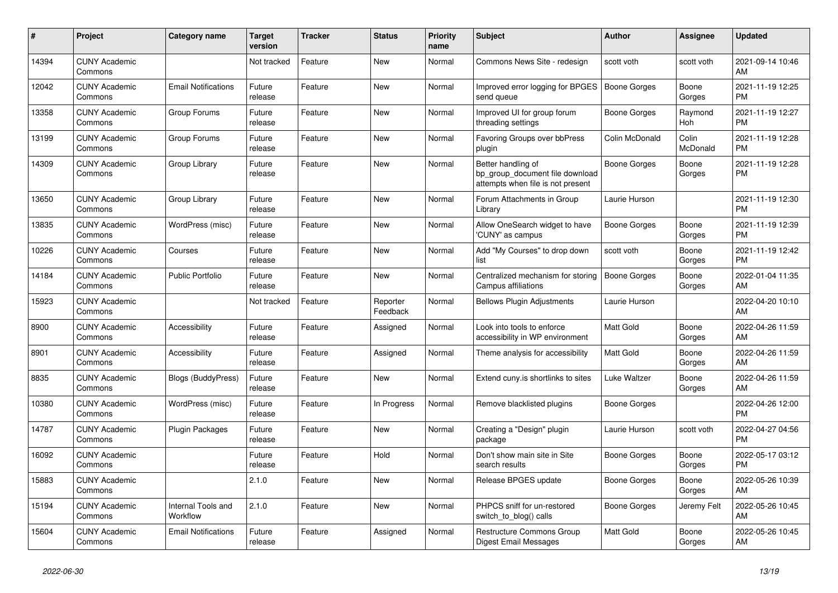| #     | Project                         | <b>Category name</b>           | <b>Target</b><br>version | <b>Tracker</b> | <b>Status</b>        | <b>Priority</b><br>name | <b>Subject</b>                                                                             | <b>Author</b>       | Assignee          | <b>Updated</b>                |
|-------|---------------------------------|--------------------------------|--------------------------|----------------|----------------------|-------------------------|--------------------------------------------------------------------------------------------|---------------------|-------------------|-------------------------------|
| 14394 | <b>CUNY Academic</b><br>Commons |                                | Not tracked              | Feature        | New                  | Normal                  | Commons News Site - redesign                                                               | scott voth          | scott voth        | 2021-09-14 10:46<br>AM        |
| 12042 | <b>CUNY Academic</b><br>Commons | <b>Email Notifications</b>     | Future<br>release        | Feature        | <b>New</b>           | Normal                  | Improved error logging for BPGES<br>send queue                                             | <b>Boone Gorges</b> | Boone<br>Gorges   | 2021-11-19 12:25<br><b>PM</b> |
| 13358 | <b>CUNY Academic</b><br>Commons | Group Forums                   | Future<br>release        | Feature        | <b>New</b>           | Normal                  | Improved UI for group forum<br>threading settings                                          | Boone Gorges        | Raymond<br>Hoh    | 2021-11-19 12:27<br><b>PM</b> |
| 13199 | <b>CUNY Academic</b><br>Commons | Group Forums                   | Future<br>release        | Feature        | <b>New</b>           | Normal                  | Favoring Groups over bbPress<br>plugin                                                     | Colin McDonald      | Colin<br>McDonald | 2021-11-19 12:28<br><b>PM</b> |
| 14309 | <b>CUNY Academic</b><br>Commons | Group Library                  | Future<br>release        | Feature        | New                  | Normal                  | Better handling of<br>bp_group_document file download<br>attempts when file is not present | Boone Gorges        | Boone<br>Gorges   | 2021-11-19 12:28<br><b>PM</b> |
| 13650 | <b>CUNY Academic</b><br>Commons | Group Library                  | Future<br>release        | Feature        | <b>New</b>           | Normal                  | Forum Attachments in Group<br>Library                                                      | Laurie Hurson       |                   | 2021-11-19 12:30<br><b>PM</b> |
| 13835 | <b>CUNY Academic</b><br>Commons | WordPress (misc)               | Future<br>release        | Feature        | <b>New</b>           | Normal                  | Allow OneSearch widget to have<br>'CUNY' as campus                                         | Boone Gorges        | Boone<br>Gorges   | 2021-11-19 12:39<br><b>PM</b> |
| 10226 | <b>CUNY Academic</b><br>Commons | Courses                        | Future<br>release        | Feature        | <b>New</b>           | Normal                  | Add "My Courses" to drop down<br>list                                                      | scott voth          | Boone<br>Gorges   | 2021-11-19 12:42<br><b>PM</b> |
| 14184 | <b>CUNY Academic</b><br>Commons | <b>Public Portfolio</b>        | Future<br>release        | Feature        | <b>New</b>           | Normal                  | Centralized mechanism for storing<br>Campus affiliations                                   | <b>Boone Gorges</b> | Boone<br>Gorges   | 2022-01-04 11:35<br>AM        |
| 15923 | <b>CUNY Academic</b><br>Commons |                                | Not tracked              | Feature        | Reporter<br>Feedback | Normal                  | <b>Bellows Plugin Adjustments</b>                                                          | Laurie Hurson       |                   | 2022-04-20 10:10<br>AM        |
| 8900  | <b>CUNY Academic</b><br>Commons | Accessibility                  | Future<br>release        | Feature        | Assigned             | Normal                  | Look into tools to enforce<br>accessibility in WP environment                              | <b>Matt Gold</b>    | Boone<br>Gorges   | 2022-04-26 11:59<br>AM        |
| 8901  | <b>CUNY Academic</b><br>Commons | Accessibility                  | Future<br>release        | Feature        | Assigned             | Normal                  | Theme analysis for accessibility                                                           | <b>Matt Gold</b>    | Boone<br>Gorges   | 2022-04-26 11:59<br>AM        |
| 8835  | <b>CUNY Academic</b><br>Commons | <b>Blogs (BuddyPress)</b>      | Future<br>release        | Feature        | <b>New</b>           | Normal                  | Extend cuny.is shortlinks to sites                                                         | Luke Waltzer        | Boone<br>Gorges   | 2022-04-26 11:59<br>AM        |
| 10380 | <b>CUNY Academic</b><br>Commons | WordPress (misc)               | Future<br>release        | Feature        | In Progress          | Normal                  | Remove blacklisted plugins                                                                 | Boone Gorges        |                   | 2022-04-26 12:00<br><b>PM</b> |
| 14787 | <b>CUNY Academic</b><br>Commons | <b>Plugin Packages</b>         | Future<br>release        | Feature        | <b>New</b>           | Normal                  | Creating a "Design" plugin<br>package                                                      | Laurie Hurson       | scott voth        | 2022-04-27 04:56<br><b>PM</b> |
| 16092 | <b>CUNY Academic</b><br>Commons |                                | Future<br>release        | Feature        | Hold                 | Normal                  | Don't show main site in Site<br>search results                                             | Boone Gorges        | Boone<br>Gorges   | 2022-05-17 03:12<br><b>PM</b> |
| 15883 | <b>CUNY Academic</b><br>Commons |                                | 2.1.0                    | Feature        | <b>New</b>           | Normal                  | Release BPGES update                                                                       | Boone Gorges        | Boone<br>Gorges   | 2022-05-26 10:39<br>AM        |
| 15194 | <b>CUNY Academic</b><br>Commons | Internal Tools and<br>Workflow | 2.1.0                    | Feature        | New                  | Normal                  | PHPCS sniff for un-restored<br>switch_to_blog() calls                                      | Boone Gorges        | Jeremy Felt       | 2022-05-26 10:45<br>AM        |
| 15604 | <b>CUNY Academic</b><br>Commons | <b>Email Notifications</b>     | Future<br>release        | Feature        | Assigned             | Normal                  | Restructure Commons Group<br><b>Digest Email Messages</b>                                  | <b>Matt Gold</b>    | Boone<br>Gorges   | 2022-05-26 10:45<br>AM        |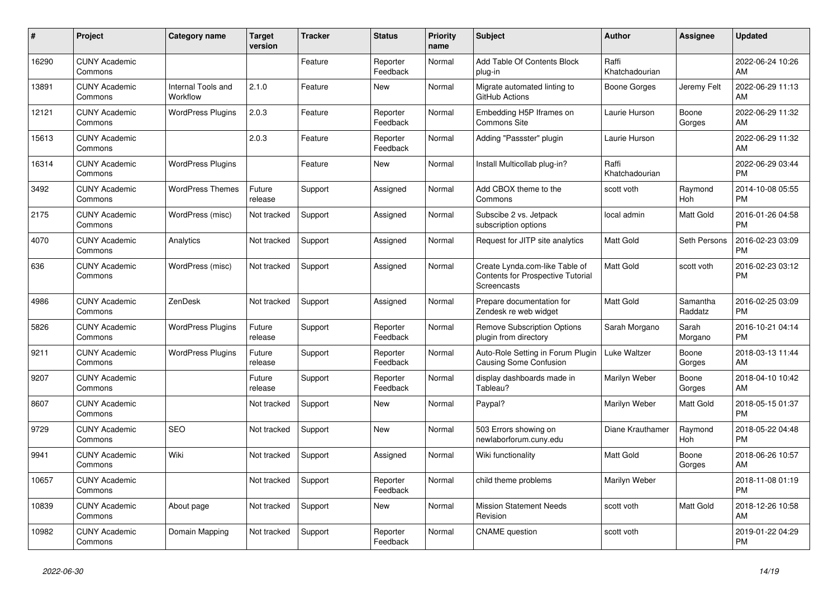| #     | Project                         | <b>Category name</b>           | <b>Target</b><br>version | <b>Tracker</b> | <b>Status</b>        | <b>Priority</b><br>name | <b>Subject</b>                                                                     | <b>Author</b>           | <b>Assignee</b>     | <b>Updated</b>                |
|-------|---------------------------------|--------------------------------|--------------------------|----------------|----------------------|-------------------------|------------------------------------------------------------------------------------|-------------------------|---------------------|-------------------------------|
| 16290 | <b>CUNY Academic</b><br>Commons |                                |                          | Feature        | Reporter<br>Feedback | Normal                  | Add Table Of Contents Block<br>plug-in                                             | Raffi<br>Khatchadourian |                     | 2022-06-24 10:26<br>AM        |
| 13891 | <b>CUNY Academic</b><br>Commons | Internal Tools and<br>Workflow | 2.1.0                    | Feature        | New                  | Normal                  | Migrate automated linting to<br>GitHub Actions                                     | Boone Gorges            | Jeremy Felt         | 2022-06-29 11:13<br>AM        |
| 12121 | <b>CUNY Academic</b><br>Commons | <b>WordPress Plugins</b>       | 2.0.3                    | Feature        | Reporter<br>Feedback | Normal                  | Embedding H5P Iframes on<br><b>Commons Site</b>                                    | Laurie Hurson           | Boone<br>Gorges     | 2022-06-29 11:32<br>AM        |
| 15613 | <b>CUNY Academic</b><br>Commons |                                | 2.0.3                    | Feature        | Reporter<br>Feedback | Normal                  | Adding "Passster" plugin                                                           | Laurie Hurson           |                     | 2022-06-29 11:32<br>AM        |
| 16314 | <b>CUNY Academic</b><br>Commons | <b>WordPress Plugins</b>       |                          | Feature        | New                  | Normal                  | Install Multicollab plug-in?                                                       | Raffi<br>Khatchadourian |                     | 2022-06-29 03:44<br><b>PM</b> |
| 3492  | <b>CUNY Academic</b><br>Commons | <b>WordPress Themes</b>        | Future<br>release        | Support        | Assigned             | Normal                  | Add CBOX theme to the<br>Commons                                                   | scott voth              | Raymond<br>Hoh      | 2014-10-08 05:55<br><b>PM</b> |
| 2175  | <b>CUNY Academic</b><br>Commons | WordPress (misc)               | Not tracked              | Support        | Assigned             | Normal                  | Subscibe 2 vs. Jetpack<br>subscription options                                     | local admin             | Matt Gold           | 2016-01-26 04:58<br><b>PM</b> |
| 4070  | <b>CUNY Academic</b><br>Commons | Analytics                      | Not tracked              | Support        | Assigned             | Normal                  | Request for JITP site analytics                                                    | Matt Gold               | Seth Persons        | 2016-02-23 03:09<br><b>PM</b> |
| 636   | <b>CUNY Academic</b><br>Commons | WordPress (misc)               | Not tracked              | Support        | Assigned             | Normal                  | Create Lynda.com-like Table of<br>Contents for Prospective Tutorial<br>Screencasts | <b>Matt Gold</b>        | scott voth          | 2016-02-23 03:12<br><b>PM</b> |
| 4986  | <b>CUNY Academic</b><br>Commons | ZenDesk                        | Not tracked              | Support        | Assigned             | Normal                  | Prepare documentation for<br>Zendesk re web widget                                 | Matt Gold               | Samantha<br>Raddatz | 2016-02-25 03:09<br><b>PM</b> |
| 5826  | <b>CUNY Academic</b><br>Commons | <b>WordPress Plugins</b>       | Future<br>release        | Support        | Reporter<br>Feedback | Normal                  | <b>Remove Subscription Options</b><br>plugin from directory                        | Sarah Morgano           | Sarah<br>Morgano    | 2016-10-21 04:14<br><b>PM</b> |
| 9211  | <b>CUNY Academic</b><br>Commons | <b>WordPress Plugins</b>       | Future<br>release        | Support        | Reporter<br>Feedback | Normal                  | Auto-Role Setting in Forum Plugin<br>Causing Some Confusion                        | Luke Waltzer            | Boone<br>Gorges     | 2018-03-13 11:44<br>AM        |
| 9207  | <b>CUNY Academic</b><br>Commons |                                | Future<br>release        | Support        | Reporter<br>Feedback | Normal                  | display dashboards made in<br>Tableau?                                             | Marilyn Weber           | Boone<br>Gorges     | 2018-04-10 10:42<br>AM        |
| 8607  | <b>CUNY Academic</b><br>Commons |                                | Not tracked              | Support        | New                  | Normal                  | Paypal?                                                                            | Marilyn Weber           | Matt Gold           | 2018-05-15 01:37<br><b>PM</b> |
| 9729  | <b>CUNY Academic</b><br>Commons | <b>SEO</b>                     | Not tracked              | Support        | <b>New</b>           | Normal                  | 503 Errors showing on<br>newlaborforum.cuny.edu                                    | Diane Krauthamer        | Raymond<br>Hoh      | 2018-05-22 04:48<br><b>PM</b> |
| 9941  | <b>CUNY Academic</b><br>Commons | Wiki                           | Not tracked              | Support        | Assigned             | Normal                  | Wiki functionality                                                                 | Matt Gold               | Boone<br>Gorges     | 2018-06-26 10:57<br>AM        |
| 10657 | <b>CUNY Academic</b><br>Commons |                                | Not tracked              | Support        | Reporter<br>Feedback | Normal                  | child theme problems                                                               | Marilyn Weber           |                     | 2018-11-08 01:19<br><b>PM</b> |
| 10839 | <b>CUNY Academic</b><br>Commons | About page                     | Not tracked              | Support        | <b>New</b>           | Normal                  | <b>Mission Statement Needs</b><br>Revision                                         | scott voth              | Matt Gold           | 2018-12-26 10:58<br>AM        |
| 10982 | <b>CUNY Academic</b><br>Commons | Domain Mapping                 | Not tracked              | Support        | Reporter<br>Feedback | Normal                  | <b>CNAME</b> question                                                              | scott voth              |                     | 2019-01-22 04:29<br><b>PM</b> |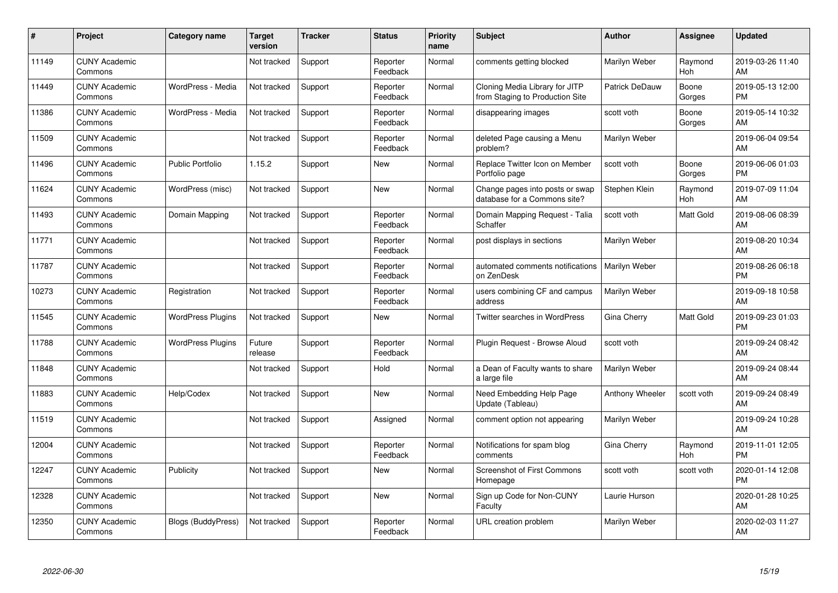| #     | Project                         | <b>Category name</b>      | <b>Target</b><br>version | <b>Tracker</b> | <b>Status</b>        | <b>Priority</b><br>name | <b>Subject</b>                                                    | <b>Author</b>         | <b>Assignee</b> | <b>Updated</b>                |
|-------|---------------------------------|---------------------------|--------------------------|----------------|----------------------|-------------------------|-------------------------------------------------------------------|-----------------------|-----------------|-------------------------------|
| 11149 | <b>CUNY Academic</b><br>Commons |                           | Not tracked              | Support        | Reporter<br>Feedback | Normal                  | comments getting blocked                                          | Marilyn Weber         | Raymond<br>Hoh  | 2019-03-26 11:40<br>AM        |
| 11449 | <b>CUNY Academic</b><br>Commons | WordPress - Media         | Not tracked              | Support        | Reporter<br>Feedback | Normal                  | Cloning Media Library for JITP<br>from Staging to Production Site | <b>Patrick DeDauw</b> | Boone<br>Gorges | 2019-05-13 12:00<br><b>PM</b> |
| 11386 | <b>CUNY Academic</b><br>Commons | WordPress - Media         | Not tracked              | Support        | Reporter<br>Feedback | Normal                  | disappearing images                                               | scott voth            | Boone<br>Gorges | 2019-05-14 10:32<br>AM        |
| 11509 | <b>CUNY Academic</b><br>Commons |                           | Not tracked              | Support        | Reporter<br>Feedback | Normal                  | deleted Page causing a Menu<br>problem?                           | Marilyn Weber         |                 | 2019-06-04 09:54<br>AM        |
| 11496 | <b>CUNY Academic</b><br>Commons | <b>Public Portfolio</b>   | 1.15.2                   | Support        | <b>New</b>           | Normal                  | Replace Twitter Icon on Member<br>Portfolio page                  | scott voth            | Boone<br>Gorges | 2019-06-06 01:03<br><b>PM</b> |
| 11624 | <b>CUNY Academic</b><br>Commons | WordPress (misc)          | Not tracked              | Support        | <b>New</b>           | Normal                  | Change pages into posts or swap<br>database for a Commons site?   | Stephen Klein         | Raymond<br>Hoh  | 2019-07-09 11:04<br>AM        |
| 11493 | <b>CUNY Academic</b><br>Commons | Domain Mapping            | Not tracked              | Support        | Reporter<br>Feedback | Normal                  | Domain Mapping Request - Talia<br>Schaffer                        | scott voth            | Matt Gold       | 2019-08-06 08:39<br>AM        |
| 11771 | <b>CUNY Academic</b><br>Commons |                           | Not tracked              | Support        | Reporter<br>Feedback | Normal                  | post displays in sections                                         | Marilyn Weber         |                 | 2019-08-20 10:34<br>AM        |
| 11787 | <b>CUNY Academic</b><br>Commons |                           | Not tracked              | Support        | Reporter<br>Feedback | Normal                  | automated comments notifications<br>on ZenDesk                    | Marilyn Weber         |                 | 2019-08-26 06:18<br><b>PM</b> |
| 10273 | <b>CUNY Academic</b><br>Commons | Registration              | Not tracked              | Support        | Reporter<br>Feedback | Normal                  | users combining CF and campus<br>address                          | Marilyn Weber         |                 | 2019-09-18 10:58<br>AM        |
| 11545 | <b>CUNY Academic</b><br>Commons | <b>WordPress Plugins</b>  | Not tracked              | Support        | New                  | Normal                  | Twitter searches in WordPress                                     | Gina Cherry           | Matt Gold       | 2019-09-23 01:03<br><b>PM</b> |
| 11788 | <b>CUNY Academic</b><br>Commons | <b>WordPress Plugins</b>  | Future<br>release        | Support        | Reporter<br>Feedback | Normal                  | Plugin Request - Browse Aloud                                     | scott voth            |                 | 2019-09-24 08:42<br>AM        |
| 11848 | <b>CUNY Academic</b><br>Commons |                           | Not tracked              | Support        | Hold                 | Normal                  | a Dean of Faculty wants to share<br>a large file                  | Marilyn Weber         |                 | 2019-09-24 08:44<br>AM        |
| 11883 | <b>CUNY Academic</b><br>Commons | Help/Codex                | Not tracked              | Support        | <b>New</b>           | Normal                  | Need Embedding Help Page<br>Update (Tableau)                      | Anthony Wheeler       | scott voth      | 2019-09-24 08:49<br>AM        |
| 11519 | <b>CUNY Academic</b><br>Commons |                           | Not tracked              | Support        | Assigned             | Normal                  | comment option not appearing                                      | Marilyn Weber         |                 | 2019-09-24 10:28<br>AM        |
| 12004 | <b>CUNY Academic</b><br>Commons |                           | Not tracked              | Support        | Reporter<br>Feedback | Normal                  | Notifications for spam blog<br>comments                           | Gina Cherry           | Raymond<br>Hoh  | 2019-11-01 12:05<br><b>PM</b> |
| 12247 | <b>CUNY Academic</b><br>Commons | Publicity                 | Not tracked              | Support        | New                  | Normal                  | Screenshot of First Commons<br>Homepage                           | scott voth            | scott voth      | 2020-01-14 12:08<br><b>PM</b> |
| 12328 | <b>CUNY Academic</b><br>Commons |                           | Not tracked              | Support        | <b>New</b>           | Normal                  | Sign up Code for Non-CUNY<br>Faculty                              | Laurie Hurson         |                 | 2020-01-28 10:25<br>AM        |
| 12350 | <b>CUNY Academic</b><br>Commons | <b>Blogs (BuddyPress)</b> | Not tracked              | Support        | Reporter<br>Feedback | Normal                  | URL creation problem                                              | Marilyn Weber         |                 | 2020-02-03 11:27<br>AM        |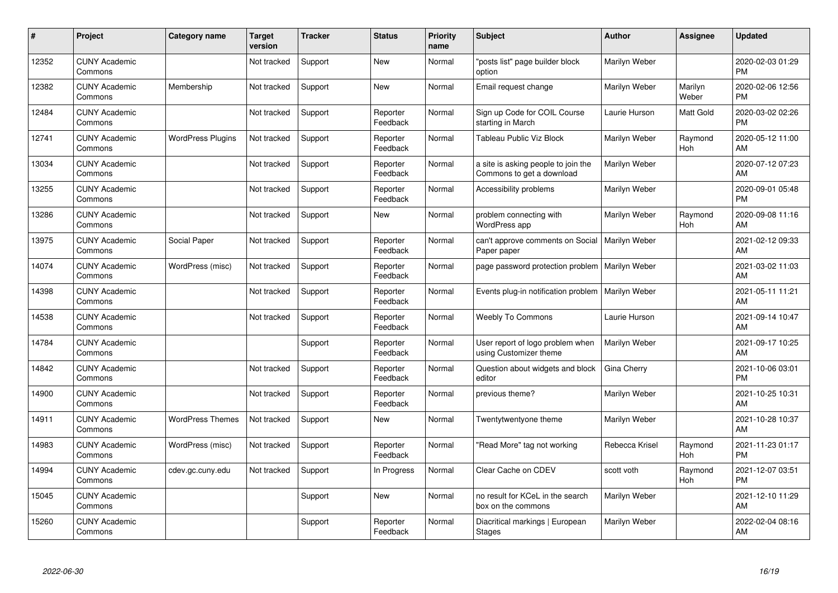| #     | Project                         | <b>Category name</b>     | <b>Target</b><br>version | <b>Tracker</b> | <b>Status</b>        | Priority<br>name | <b>Subject</b>                                                   | <b>Author</b>  | <b>Assignee</b>  | <b>Updated</b>                |
|-------|---------------------------------|--------------------------|--------------------------|----------------|----------------------|------------------|------------------------------------------------------------------|----------------|------------------|-------------------------------|
| 12352 | <b>CUNY Academic</b><br>Commons |                          | Not tracked              | Support        | <b>New</b>           | Normal           | "posts list" page builder block<br>option                        | Marilyn Weber  |                  | 2020-02-03 01:29<br><b>PM</b> |
| 12382 | <b>CUNY Academic</b><br>Commons | Membership               | Not tracked              | Support        | <b>New</b>           | Normal           | Email request change                                             | Marilyn Weber  | Marilyn<br>Weber | 2020-02-06 12:56<br><b>PM</b> |
| 12484 | <b>CUNY Academic</b><br>Commons |                          | Not tracked              | Support        | Reporter<br>Feedback | Normal           | Sign up Code for COIL Course<br>starting in March                | Laurie Hurson  | Matt Gold        | 2020-03-02 02:26<br><b>PM</b> |
| 12741 | <b>CUNY Academic</b><br>Commons | <b>WordPress Plugins</b> | Not tracked              | Support        | Reporter<br>Feedback | Normal           | Tableau Public Viz Block                                         | Marilyn Weber  | Raymond<br>Hoh   | 2020-05-12 11:00<br>AM        |
| 13034 | <b>CUNY Academic</b><br>Commons |                          | Not tracked              | Support        | Reporter<br>Feedback | Normal           | a site is asking people to join the<br>Commons to get a download | Marilyn Weber  |                  | 2020-07-12 07:23<br>AM        |
| 13255 | <b>CUNY Academic</b><br>Commons |                          | Not tracked              | Support        | Reporter<br>Feedback | Normal           | Accessibility problems                                           | Marilyn Weber  |                  | 2020-09-01 05:48<br><b>PM</b> |
| 13286 | <b>CUNY Academic</b><br>Commons |                          | Not tracked              | Support        | <b>New</b>           | Normal           | problem connecting with<br>WordPress app                         | Marilyn Weber  | Raymond<br>Hoh   | 2020-09-08 11:16<br>AM        |
| 13975 | <b>CUNY Academic</b><br>Commons | Social Paper             | Not tracked              | Support        | Reporter<br>Feedback | Normal           | can't approve comments on Social<br>Paper paper                  | Marilyn Weber  |                  | 2021-02-12 09:33<br>AM        |
| 14074 | <b>CUNY Academic</b><br>Commons | WordPress (misc)         | Not tracked              | Support        | Reporter<br>Feedback | Normal           | page password protection problem   Marilyn Weber                 |                |                  | 2021-03-02 11:03<br>AM        |
| 14398 | <b>CUNY Academic</b><br>Commons |                          | Not tracked              | Support        | Reporter<br>Feedback | Normal           | Events plug-in notification problem   Marilyn Weber              |                |                  | 2021-05-11 11:21<br>AM        |
| 14538 | <b>CUNY Academic</b><br>Commons |                          | Not tracked              | Support        | Reporter<br>Feedback | Normal           | <b>Weebly To Commons</b>                                         | Laurie Hurson  |                  | 2021-09-14 10:47<br>AM        |
| 14784 | <b>CUNY Academic</b><br>Commons |                          |                          | Support        | Reporter<br>Feedback | Normal           | User report of logo problem when<br>using Customizer theme       | Marilyn Weber  |                  | 2021-09-17 10:25<br>AM        |
| 14842 | <b>CUNY Academic</b><br>Commons |                          | Not tracked              | Support        | Reporter<br>Feedback | Normal           | Question about widgets and block<br>editor                       | Gina Cherry    |                  | 2021-10-06 03:01<br><b>PM</b> |
| 14900 | <b>CUNY Academic</b><br>Commons |                          | Not tracked              | Support        | Reporter<br>Feedback | Normal           | previous theme?                                                  | Marilyn Weber  |                  | 2021-10-25 10:31<br>AM        |
| 14911 | <b>CUNY Academic</b><br>Commons | <b>WordPress Themes</b>  | Not tracked              | Support        | <b>New</b>           | Normal           | Twentytwentyone theme                                            | Marilyn Weber  |                  | 2021-10-28 10:37<br>AM        |
| 14983 | <b>CUNY Academic</b><br>Commons | WordPress (misc)         | Not tracked              | Support        | Reporter<br>Feedback | Normal           | "Read More" tag not working                                      | Rebecca Krisel | Raymond<br>Hoh   | 2021-11-23 01:17<br><b>PM</b> |
| 14994 | <b>CUNY Academic</b><br>Commons | cdev.gc.cuny.edu         | Not tracked              | Support        | In Progress          | Normal           | Clear Cache on CDEV                                              | scott voth     | Raymond<br>Hoh   | 2021-12-07 03:51<br><b>PM</b> |
| 15045 | <b>CUNY Academic</b><br>Commons |                          |                          | Support        | <b>New</b>           | Normal           | no result for KCeL in the search<br>box on the commons           | Marilyn Weber  |                  | 2021-12-10 11:29<br>AM        |
| 15260 | <b>CUNY Academic</b><br>Commons |                          |                          | Support        | Reporter<br>Feedback | Normal           | Diacritical markings   European<br><b>Stages</b>                 | Marilyn Weber  |                  | 2022-02-04 08:16<br>AM        |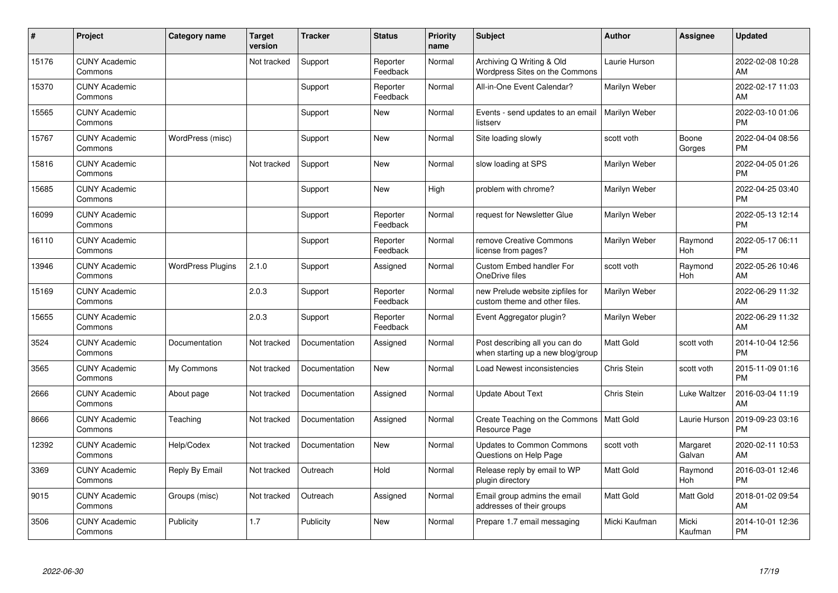| #     | Project                         | <b>Category name</b>     | <b>Target</b><br>version | <b>Tracker</b> | <b>Status</b>        | <b>Priority</b><br>name | <b>Subject</b>                                                      | <b>Author</b>    | Assignee           | <b>Updated</b>                |
|-------|---------------------------------|--------------------------|--------------------------|----------------|----------------------|-------------------------|---------------------------------------------------------------------|------------------|--------------------|-------------------------------|
| 15176 | <b>CUNY Academic</b><br>Commons |                          | Not tracked              | Support        | Reporter<br>Feedback | Normal                  | Archiving Q Writing & Old<br>Wordpress Sites on the Commons         | Laurie Hurson    |                    | 2022-02-08 10:28<br>AM        |
| 15370 | <b>CUNY Academic</b><br>Commons |                          |                          | Support        | Reporter<br>Feedback | Normal                  | All-in-One Event Calendar?                                          | Marilyn Weber    |                    | 2022-02-17 11:03<br>AM        |
| 15565 | <b>CUNY Academic</b><br>Commons |                          |                          | Support        | <b>New</b>           | Normal                  | Events - send updates to an email<br>listserv                       | Marilyn Weber    |                    | 2022-03-10 01:06<br><b>PM</b> |
| 15767 | <b>CUNY Academic</b><br>Commons | WordPress (misc)         |                          | Support        | <b>New</b>           | Normal                  | Site loading slowly                                                 | scott voth       | Boone<br>Gorges    | 2022-04-04 08:56<br><b>PM</b> |
| 15816 | <b>CUNY Academic</b><br>Commons |                          | Not tracked              | Support        | <b>New</b>           | Normal                  | slow loading at SPS                                                 | Marilyn Weber    |                    | 2022-04-05 01:26<br><b>PM</b> |
| 15685 | <b>CUNY Academic</b><br>Commons |                          |                          | Support        | <b>New</b>           | High                    | problem with chrome?                                                | Marilyn Weber    |                    | 2022-04-25 03:40<br><b>PM</b> |
| 16099 | <b>CUNY Academic</b><br>Commons |                          |                          | Support        | Reporter<br>Feedback | Normal                  | request for Newsletter Glue                                         | Marilyn Weber    |                    | 2022-05-13 12:14<br><b>PM</b> |
| 16110 | <b>CUNY Academic</b><br>Commons |                          |                          | Support        | Reporter<br>Feedback | Normal                  | remove Creative Commons<br>license from pages?                      | Marilyn Weber    | Raymond<br>Hoh     | 2022-05-17 06:11<br><b>PM</b> |
| 13946 | <b>CUNY Academic</b><br>Commons | <b>WordPress Plugins</b> | 2.1.0                    | Support        | Assigned             | Normal                  | <b>Custom Embed handler For</b><br>OneDrive files                   | scott voth       | Raymond<br>Hoh     | 2022-05-26 10:46<br>AM        |
| 15169 | <b>CUNY Academic</b><br>Commons |                          | 2.0.3                    | Support        | Reporter<br>Feedback | Normal                  | new Prelude website zipfiles for<br>custom theme and other files.   | Marilyn Weber    |                    | 2022-06-29 11:32<br>AM        |
| 15655 | <b>CUNY Academic</b><br>Commons |                          | 2.0.3                    | Support        | Reporter<br>Feedback | Normal                  | Event Aggregator plugin?                                            | Marilyn Weber    |                    | 2022-06-29 11:32<br>AM        |
| 3524  | <b>CUNY Academic</b><br>Commons | Documentation            | Not tracked              | Documentation  | Assigned             | Normal                  | Post describing all you can do<br>when starting up a new blog/group | <b>Matt Gold</b> | scott voth         | 2014-10-04 12:56<br><b>PM</b> |
| 3565  | <b>CUNY Academic</b><br>Commons | My Commons               | Not tracked              | Documentation  | New                  | Normal                  | Load Newest inconsistencies                                         | Chris Stein      | scott voth         | 2015-11-09 01:16<br><b>PM</b> |
| 2666  | <b>CUNY Academic</b><br>Commons | About page               | Not tracked              | Documentation  | Assigned             | Normal                  | <b>Update About Text</b>                                            | Chris Stein      | Luke Waltzer       | 2016-03-04 11:19<br>AM        |
| 8666  | <b>CUNY Academic</b><br>Commons | Teaching                 | Not tracked              | Documentation  | Assigned             | Normal                  | Create Teaching on the Commons<br>Resource Page                     | Matt Gold        | Laurie Hurson      | 2019-09-23 03:16<br><b>PM</b> |
| 12392 | <b>CUNY Academic</b><br>Commons | Help/Codex               | Not tracked              | Documentation  | New                  | Normal                  | Updates to Common Commons<br>Questions on Help Page                 | scott voth       | Margaret<br>Galvan | 2020-02-11 10:53<br>AM        |
| 3369  | <b>CUNY Academic</b><br>Commons | Reply By Email           | Not tracked              | Outreach       | Hold                 | Normal                  | Release reply by email to WP<br>plugin directory                    | Matt Gold        | Raymond<br>Hoh     | 2016-03-01 12:46<br><b>PM</b> |
| 9015  | <b>CUNY Academic</b><br>Commons | Groups (misc)            | Not tracked              | Outreach       | Assigned             | Normal                  | Email group admins the email<br>addresses of their groups           | Matt Gold        | Matt Gold          | 2018-01-02 09:54<br>AM        |
| 3506  | <b>CUNY Academic</b><br>Commons | Publicity                | 1.7                      | Publicity      | <b>New</b>           | Normal                  | Prepare 1.7 email messaging                                         | Micki Kaufman    | Micki<br>Kaufman   | 2014-10-01 12:36<br>PM        |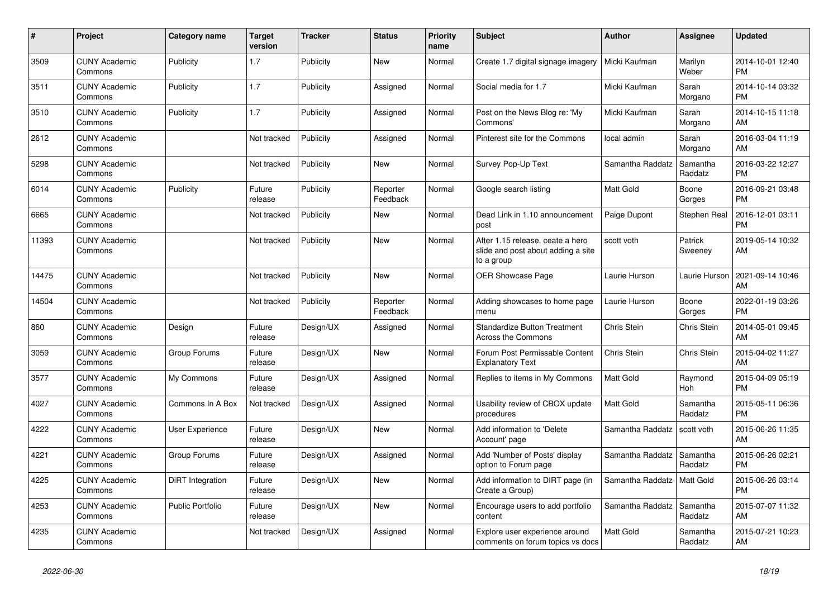| #     | <b>Project</b>                  | Category name           | <b>Target</b><br>version | <b>Tracker</b> | <b>Status</b>        | <b>Priority</b><br>name | <b>Subject</b>                                                                       | <b>Author</b>    | Assignee            | <b>Updated</b>                |
|-------|---------------------------------|-------------------------|--------------------------|----------------|----------------------|-------------------------|--------------------------------------------------------------------------------------|------------------|---------------------|-------------------------------|
| 3509  | <b>CUNY Academic</b><br>Commons | Publicity               | 1.7                      | Publicity      | New                  | Normal                  | Create 1.7 digital signage imagery                                                   | Micki Kaufman    | Marilyn<br>Weber    | 2014-10-01 12:40<br><b>PM</b> |
| 3511  | <b>CUNY Academic</b><br>Commons | Publicity               | 1.7                      | Publicity      | Assigned             | Normal                  | Social media for 1.7                                                                 | Micki Kaufman    | Sarah<br>Morgano    | 2014-10-14 03:32<br><b>PM</b> |
| 3510  | <b>CUNY Academic</b><br>Commons | Publicity               | 1.7                      | Publicity      | Assigned             | Normal                  | Post on the News Blog re: 'My<br>Commons'                                            | Micki Kaufman    | Sarah<br>Morgano    | 2014-10-15 11:18<br>AM        |
| 2612  | <b>CUNY Academic</b><br>Commons |                         | Not tracked              | Publicity      | Assigned             | Normal                  | Pinterest site for the Commons                                                       | local admin      | Sarah<br>Morgano    | 2016-03-04 11:19<br>AM        |
| 5298  | <b>CUNY Academic</b><br>Commons |                         | Not tracked              | Publicity      | New                  | Normal                  | Survey Pop-Up Text                                                                   | Samantha Raddatz | Samantha<br>Raddatz | 2016-03-22 12:27<br><b>PM</b> |
| 6014  | <b>CUNY Academic</b><br>Commons | Publicity               | Future<br>release        | Publicity      | Reporter<br>Feedback | Normal                  | Google search listing                                                                | <b>Matt Gold</b> | Boone<br>Gorges     | 2016-09-21 03:48<br><b>PM</b> |
| 6665  | <b>CUNY Academic</b><br>Commons |                         | Not tracked              | Publicity      | <b>New</b>           | Normal                  | Dead Link in 1.10 announcement<br>post                                               | Paige Dupont     | Stephen Real        | 2016-12-01 03:11<br><b>PM</b> |
| 11393 | <b>CUNY Academic</b><br>Commons |                         | Not tracked              | Publicity      | <b>New</b>           | Normal                  | After 1.15 release, ceate a hero<br>slide and post about adding a site<br>to a group | scott voth       | Patrick<br>Sweeney  | 2019-05-14 10:32<br>AM        |
| 14475 | <b>CUNY Academic</b><br>Commons |                         | Not tracked              | Publicity      | <b>New</b>           | Normal                  | <b>OER Showcase Page</b>                                                             | Laurie Hurson    | Laurie Hurson       | 2021-09-14 10:46<br>AM        |
| 14504 | <b>CUNY Academic</b><br>Commons |                         | Not tracked              | Publicity      | Reporter<br>Feedback | Normal                  | Adding showcases to home page<br>menu                                                | Laurie Hurson    | Boone<br>Gorges     | 2022-01-19 03:26<br><b>PM</b> |
| 860   | <b>CUNY Academic</b><br>Commons | Design                  | Future<br>release        | Design/UX      | Assigned             | Normal                  | <b>Standardize Button Treatment</b><br><b>Across the Commons</b>                     | Chris Stein      | Chris Stein         | 2014-05-01 09:45<br>AM        |
| 3059  | <b>CUNY Academic</b><br>Commons | Group Forums            | Future<br>release        | Design/UX      | New                  | Normal                  | Forum Post Permissable Content<br><b>Explanatory Text</b>                            | Chris Stein      | <b>Chris Stein</b>  | 2015-04-02 11:27<br>AM        |
| 3577  | <b>CUNY Academic</b><br>Commons | My Commons              | Future<br>release        | Design/UX      | Assigned             | Normal                  | Replies to items in My Commons                                                       | Matt Gold        | Raymond<br>Hoh      | 2015-04-09 05:19<br><b>PM</b> |
| 4027  | <b>CUNY Academic</b><br>Commons | Commons In A Box        | Not tracked              | Design/UX      | Assigned             | Normal                  | Usability review of CBOX update<br>procedures                                        | <b>Matt Gold</b> | Samantha<br>Raddatz | 2015-05-11 06:36<br><b>PM</b> |
| 4222  | <b>CUNY Academic</b><br>Commons | User Experience         | Future<br>release        | Design/UX      | <b>New</b>           | Normal                  | Add information to 'Delete<br>Account' page                                          | Samantha Raddatz | scott voth          | 2015-06-26 11:35<br>AM        |
| 4221  | <b>CUNY Academic</b><br>Commons | Group Forums            | Future<br>release        | Design/UX      | Assigned             | Normal                  | Add 'Number of Posts' display<br>option to Forum page                                | Samantha Raddatz | Samantha<br>Raddatz | 2015-06-26 02:21<br><b>PM</b> |
| 4225  | <b>CUNY Academic</b><br>Commons | DiRT Integration        | Future<br>release        | Design/UX      | <b>New</b>           | Normal                  | Add information to DIRT page (in<br>Create a Group)                                  | Samantha Raddatz | Matt Gold           | 2015-06-26 03:14<br><b>PM</b> |
| 4253  | <b>CUNY Academic</b><br>Commons | <b>Public Portfolio</b> | Future<br>release        | Design/UX      | New                  | Normal                  | Encourage users to add portfolio<br>content                                          | Samantha Raddatz | Samantha<br>Raddatz | 2015-07-07 11:32<br>AM        |
| 4235  | <b>CUNY Academic</b><br>Commons |                         | Not tracked              | Design/UX      | Assigned             | Normal                  | Explore user experience around<br>comments on forum topics vs docs                   | <b>Matt Gold</b> | Samantha<br>Raddatz | 2015-07-21 10:23<br>AM        |